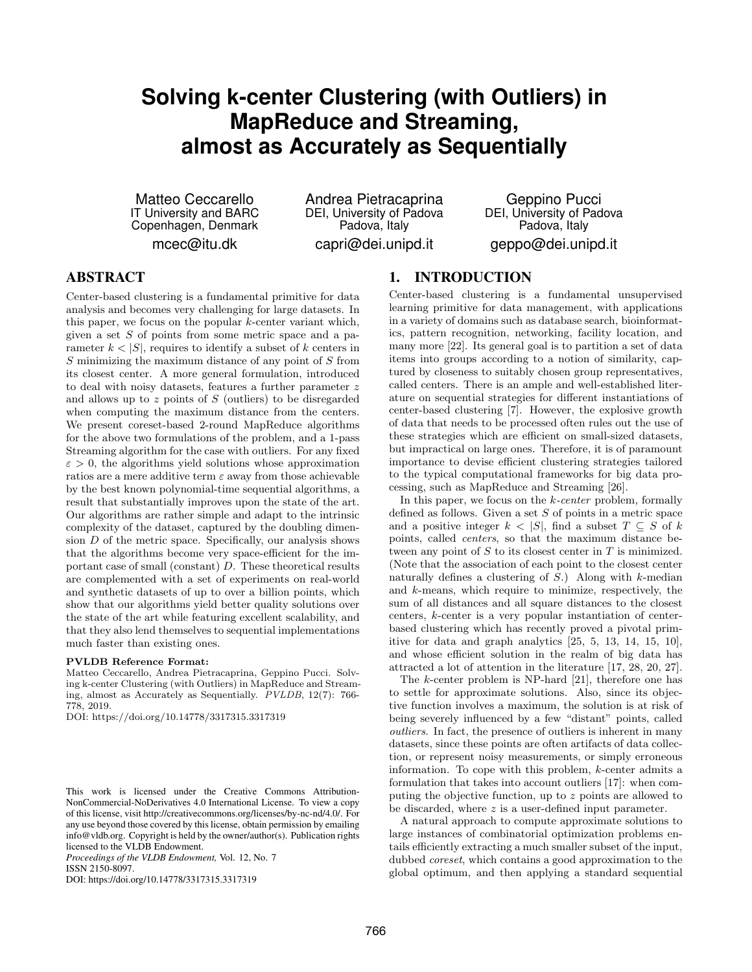# **Solving k-center Clustering (with Outliers) in MapReduce and Streaming, almost as Accurately as Sequentially**

Matteo Ceccarello IT University and BARC Copenhagen, Denmark mcec@itu.dk

Andrea Pietracaprina DEI, University of Padova Padova, Italy capri@dei.unipd.it

Geppino Pucci DEI, University of Padova Padova, Italy geppo@dei.unipd.it

# ABSTRACT

Center-based clustering is a fundamental primitive for data analysis and becomes very challenging for large datasets. In this paper, we focus on the popular  $k$ -center variant which, given a set  $S$  of points from some metric space and a parameter  $k < |S|$ , requires to identify a subset of k centers in S minimizing the maximum distance of any point of S from its closest center. A more general formulation, introduced to deal with noisy datasets, features a further parameter z and allows up to  $z$  points of  $S$  (outliers) to be disregarded when computing the maximum distance from the centers. We present coreset-based 2-round MapReduce algorithms for the above two formulations of the problem, and a 1-pass Streaming algorithm for the case with outliers. For any fixed  $\varepsilon > 0$ , the algorithms yield solutions whose approximation ratios are a mere additive term  $\varepsilon$  away from those achievable by the best known polynomial-time sequential algorithms, a result that substantially improves upon the state of the art. Our algorithms are rather simple and adapt to the intrinsic complexity of the dataset, captured by the doubling dimension  $D$  of the metric space. Specifically, our analysis shows that the algorithms become very space-efficient for the important case of small (constant) D. These theoretical results are complemented with a set of experiments on real-world and synthetic datasets of up to over a billion points, which show that our algorithms yield better quality solutions over the state of the art while featuring excellent scalability, and that they also lend themselves to sequential implementations much faster than existing ones.

#### PVLDB Reference Format:

Matteo Ceccarello, Andrea Pietracaprina, Geppino Pucci. Solving k-center Clustering (with Outliers) in MapReduce and Streaming, almost as Accurately as Sequentially. PVLDB, 12(7): 766- 778, 2019.

DOI: https://doi.org/10.14778/3317315.3317319

*Proceedings of the VLDB Endowment,* Vol. 12, No. 7 ISSN 2150-8097.

DOI: https://doi.org/10.14778/3317315.3317319

# 1. INTRODUCTION

Center-based clustering is a fundamental unsupervised learning primitive for data management, with applications in a variety of domains such as database search, bioinformatics, pattern recognition, networking, facility location, and many more [\[22\]](#page-12-0). Its general goal is to partition a set of data items into groups according to a notion of similarity, captured by closeness to suitably chosen group representatives, called centers. There is an ample and well-established literature on sequential strategies for different instantiations of center-based clustering [\[7\]](#page-12-1). However, the explosive growth of data that needs to be processed often rules out the use of these strategies which are efficient on small-sized datasets, but impractical on large ones. Therefore, it is of paramount importance to devise efficient clustering strategies tailored to the typical computational frameworks for big data processing, such as MapReduce and Streaming [\[26\]](#page-12-2).

In this paper, we focus on the  $k$ -center problem, formally defined as follows. Given a set  $S$  of points in a metric space and a positive integer  $k < |S|$ , find a subset  $T \subseteq S$  of k points, called centers, so that the maximum distance between any point of  $S$  to its closest center in  $T$  is minimized. (Note that the association of each point to the closest center naturally defines a clustering of  $S$ .) Along with k-median and k-means, which require to minimize, respectively, the sum of all distances and all square distances to the closest centers, k-center is a very popular instantiation of centerbased clustering which has recently proved a pivotal primitive for data and graph analytics [\[25,](#page-12-3) [5,](#page-12-4) [13,](#page-12-5) [14,](#page-12-6) [15,](#page-12-7) [10\]](#page-12-8), and whose efficient solution in the realm of big data has attracted a lot of attention in the literature [\[17,](#page-12-9) [28,](#page-12-10) [20,](#page-12-11) [27\]](#page-12-12).

The k-center problem is NP-hard [\[21\]](#page-12-13), therefore one has to settle for approximate solutions. Also, since its objective function involves a maximum, the solution is at risk of being severely influenced by a few "distant" points, called outliers. In fact, the presence of outliers is inherent in many datasets, since these points are often artifacts of data collection, or represent noisy measurements, or simply erroneous information. To cope with this problem, k-center admits a formulation that takes into account outliers [\[17\]](#page-12-9): when computing the objective function, up to z points are allowed to be discarded, where z is a user-defined input parameter.

A natural approach to compute approximate solutions to large instances of combinatorial optimization problems entails efficiently extracting a much smaller subset of the input, dubbed coreset, which contains a good approximation to the global optimum, and then applying a standard sequential

This work is licensed under the Creative Commons Attribution-NonCommercial-NoDerivatives 4.0 International License. To view a copy of this license, visit http://creativecommons.org/licenses/by-nc-nd/4.0/. For any use beyond those covered by this license, obtain permission by emailing info@vldb.org. Copyright is held by the owner/author(s). Publication rights licensed to the VLDB Endowment.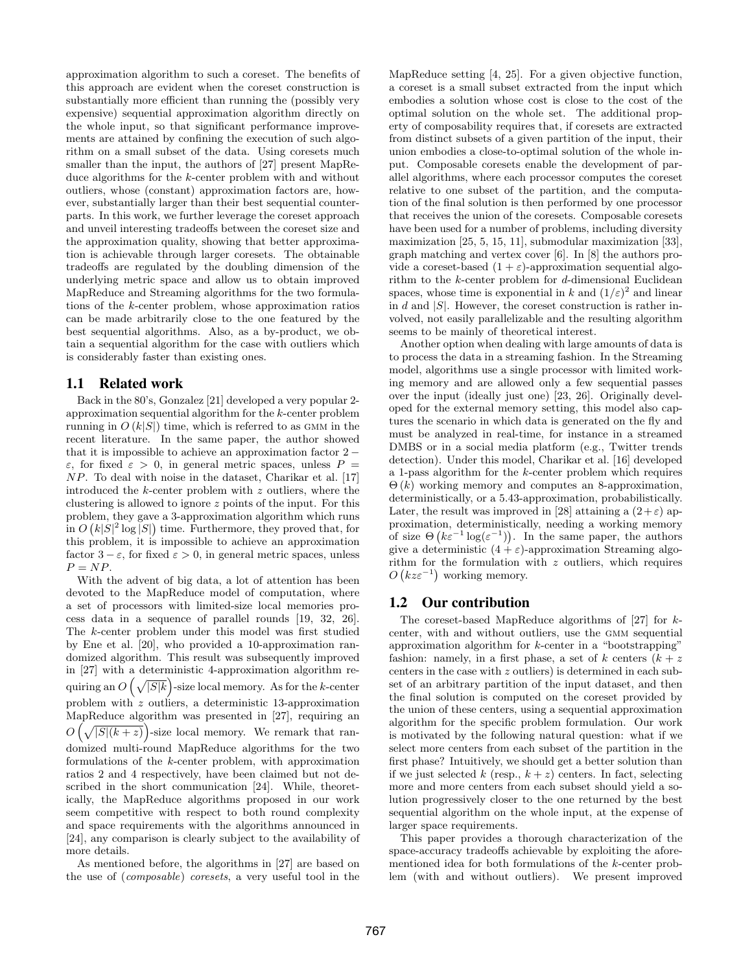approximation algorithm to such a coreset. The benefits of this approach are evident when the coreset construction is substantially more efficient than running the (possibly very expensive) sequential approximation algorithm directly on the whole input, so that significant performance improvements are attained by confining the execution of such algorithm on a small subset of the data. Using coresets much smaller than the input, the authors of [\[27\]](#page-12-12) present MapReduce algorithms for the k-center problem with and without outliers, whose (constant) approximation factors are, however, substantially larger than their best sequential counterparts. In this work, we further leverage the coreset approach and unveil interesting tradeoffs between the coreset size and the approximation quality, showing that better approximation is achievable through larger coresets. The obtainable tradeoffs are regulated by the doubling dimension of the underlying metric space and allow us to obtain improved MapReduce and Streaming algorithms for the two formulations of the k-center problem, whose approximation ratios can be made arbitrarily close to the one featured by the best sequential algorithms. Also, as a by-product, we obtain a sequential algorithm for the case with outliers which is considerably faster than existing ones.

# <span id="page-1-0"></span>1.1 Related work

Back in the 80's, Gonzalez [\[21\]](#page-12-13) developed a very popular 2 approximation sequential algorithm for the k-center problem running in  $O(k|S|)$  time, which is referred to as GMM in the recent literature. In the same paper, the author showed that it is impossible to achieve an approximation factor 2 − ε, for fixed  $ε > 0$ , in general metric spaces, unless  $P =$ NP. To deal with noise in the dataset, Charikar et al. [\[17\]](#page-12-9) introduced the k-center problem with z outliers, where the clustering is allowed to ignore z points of the input. For this problem, they gave a 3-approximation algorithm which runs in  $O(k|S|^2 \log |S|)$  time. Furthermore, they proved that, for this problem, it is impossible to achieve an approximation factor  $3 - \varepsilon$ , for fixed  $\varepsilon > 0$ , in general metric spaces, unless  $P = NP$ .

With the advent of big data, a lot of attention has been devoted to the MapReduce model of computation, where a set of processors with limited-size local memories process data in a sequence of parallel rounds [\[19,](#page-12-14) [32,](#page-12-15) [26\]](#page-12-2). The k-center problem under this model was first studied by Ene et al. [\[20\]](#page-12-11), who provided a 10-approximation randomized algorithm. This result was subsequently improved in [\[27\]](#page-12-12) with a deterministic 4-approximation algorithm requiring an  $O\left(\sqrt{|S|k}\right)$ -size local memory. As for the k-center problem with  $z$  outliers, a deterministic 13-approximation MapReduce algorithm was presented in [\[27\]](#page-12-12), requiring an  $O\left(\sqrt{|S|(k+z)}\right)$ -size local memory. We remark that randomized multi-round MapReduce algorithms for the two formulations of the k-center problem, with approximation ratios 2 and 4 respectively, have been claimed but not described in the short communication [\[24\]](#page-12-16). While, theoretically, the MapReduce algorithms proposed in our work seem competitive with respect to both round complexity and space requirements with the algorithms announced in [\[24\]](#page-12-16), any comparison is clearly subject to the availability of more details.

As mentioned before, the algorithms in [\[27\]](#page-12-12) are based on the use of (composable) coresets, a very useful tool in the MapReduce setting [\[4,](#page-12-17) [25\]](#page-12-3). For a given objective function, a coreset is a small subset extracted from the input which embodies a solution whose cost is close to the cost of the optimal solution on the whole set. The additional property of composability requires that, if coresets are extracted from distinct subsets of a given partition of the input, their union embodies a close-to-optimal solution of the whole input. Composable coresets enable the development of parallel algorithms, where each processor computes the coreset relative to one subset of the partition, and the computation of the final solution is then performed by one processor that receives the union of the coresets. Composable coresets have been used for a number of problems, including diversity maximization [\[25,](#page-12-3) [5,](#page-12-4) [15,](#page-12-7) [11\]](#page-12-18), submodular maximization [\[33\]](#page-12-19), graph matching and vertex cover [\[6\]](#page-12-20). In [\[8\]](#page-12-21) the authors provide a coreset-based  $(1 + \varepsilon)$ -approximation sequential algorithm to the k-center problem for d-dimensional Euclidean spaces, whose time is exponential in k and  $(1/\varepsilon)^2$  and linear in  $d$  and  $|S|$ . However, the coreset construction is rather involved, not easily parallelizable and the resulting algorithm seems to be mainly of theoretical interest.

Another option when dealing with large amounts of data is to process the data in a streaming fashion. In the Streaming model, algorithms use a single processor with limited working memory and are allowed only a few sequential passes over the input (ideally just one) [\[23,](#page-12-22) [26\]](#page-12-2). Originally developed for the external memory setting, this model also captures the scenario in which data is generated on the fly and must be analyzed in real-time, for instance in a streamed DMBS or in a social media platform (e.g., Twitter trends detection). Under this model, Charikar et al. [\[16\]](#page-12-23) developed a 1-pass algorithm for the k-center problem which requires  $\Theta(k)$  working memory and computes an 8-approximation, deterministically, or a 5.43-approximation, probabilistically. Later, the result was improved in [\[28\]](#page-12-10) attaining a  $(2+\varepsilon)$  approximation, deterministically, needing a working memory of size  $\Theta\left(k\varepsilon^{-1}\log(\varepsilon^{-1})\right)$ . In the same paper, the authors give a deterministic  $(4 + \varepsilon)$ -approximation Streaming algorithm for the formulation with z outliers, which requires  $O(kz\varepsilon^{-1})$  working memory.

## <span id="page-1-1"></span>1.2 Our contribution

The coreset-based MapReduce algorithms of  $[27]$  for kcenter, with and without outliers, use the GMM sequential approximation algorithm for  $k$ -center in a "bootstrapping" fashion: namely, in a first phase, a set of k centers  $(k + z)$ centers in the case with z outliers) is determined in each subset of an arbitrary partition of the input dataset, and then the final solution is computed on the coreset provided by the union of these centers, using a sequential approximation algorithm for the specific problem formulation. Our work is motivated by the following natural question: what if we select more centers from each subset of the partition in the first phase? Intuitively, we should get a better solution than if we just selected k (resp.,  $k + z$ ) centers. In fact, selecting more and more centers from each subset should yield a solution progressively closer to the one returned by the best sequential algorithm on the whole input, at the expense of larger space requirements.

This paper provides a thorough characterization of the space-accuracy tradeoffs achievable by exploiting the aforementioned idea for both formulations of the k-center problem (with and without outliers). We present improved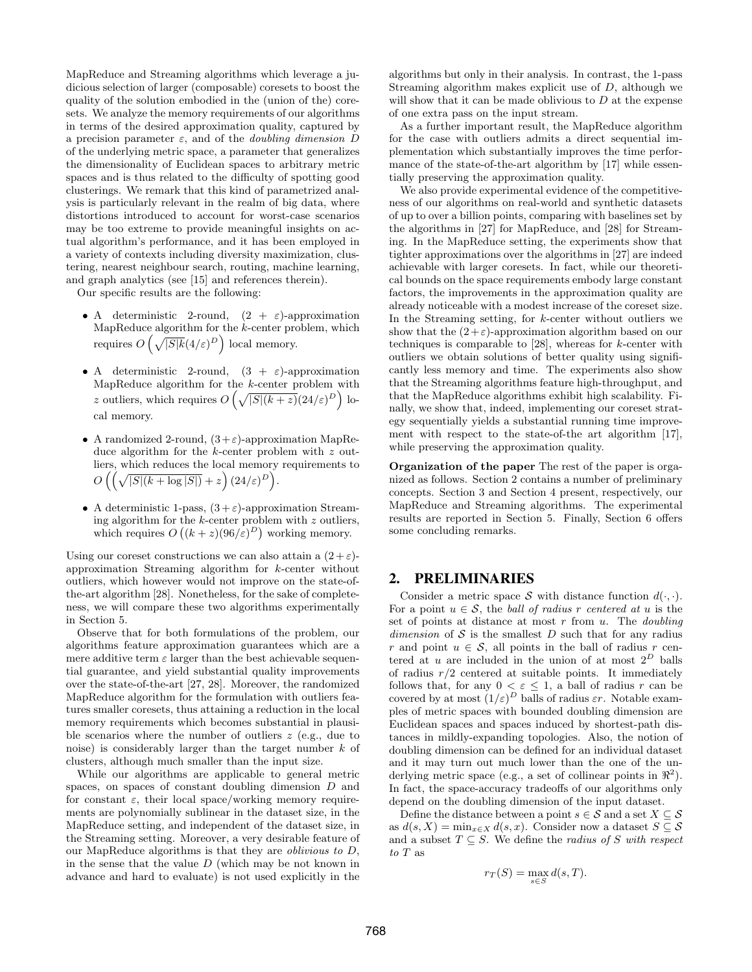MapReduce and Streaming algorithms which leverage a judicious selection of larger (composable) coresets to boost the quality of the solution embodied in the (union of the) coresets. We analyze the memory requirements of our algorithms in terms of the desired approximation quality, captured by a precision parameter  $\varepsilon$ , and of the *doubling dimension* D of the underlying metric space, a parameter that generalizes the dimensionality of Euclidean spaces to arbitrary metric spaces and is thus related to the difficulty of spotting good clusterings. We remark that this kind of parametrized analysis is particularly relevant in the realm of big data, where distortions introduced to account for worst-case scenarios may be too extreme to provide meaningful insights on actual algorithm's performance, and it has been employed in a variety of contexts including diversity maximization, clustering, nearest neighbour search, routing, machine learning, and graph analytics (see [\[15\]](#page-12-7) and references therein).

Our specific results are the following:

- A deterministic 2-round,  $(2 + \varepsilon)$ -approximation MapReduce algorithm for the k-center problem, which requires  $O\left(\sqrt{|S|k}(4/\varepsilon)^{D}\right)$  local memory.
- A deterministic 2-round,  $(3 + \varepsilon)$ -approximation MapReduce algorithm for the  $k$ -center problem with z outliers, which requires  $O\left(\sqrt{|S|(k+z)}(24/\varepsilon)^{D}\right)$  local memory.
- A randomized 2-round,  $(3+\varepsilon)$ -approximation MapReduce algorithm for the k-center problem with z outliers, which reduces the local memory requirements to  $O\left(\left(\sqrt{|S|(k+\log |S|)}+z\right)(24/\varepsilon)^D\right).$
- A deterministic 1-pass,  $(3 + \varepsilon)$ -approximation Streaming algorithm for the  $k$ -center problem with  $z$  outliers, which requires  $O((k+z)(96/\varepsilon)^D)$  working memory.

Using our coreset constructions we can also attain a  $(2+\varepsilon)$ approximation Streaming algorithm for k-center without outliers, which however would not improve on the state-ofthe-art algorithm [\[28\]](#page-12-10). Nonetheless, for the sake of completeness, we will compare these two algorithms experimentally in Section [5.](#page-8-0)

Observe that for both formulations of the problem, our algorithms feature approximation guarantees which are a mere additive term  $\varepsilon$  larger than the best achievable sequential guarantee, and yield substantial quality improvements over the state-of-the-art [\[27,](#page-12-12) [28\]](#page-12-10). Moreover, the randomized MapReduce algorithm for the formulation with outliers features smaller coresets, thus attaining a reduction in the local memory requirements which becomes substantial in plausible scenarios where the number of outliers  $z$  (e.g., due to noise) is considerably larger than the target number  $k$  of clusters, although much smaller than the input size.

While our algorithms are applicable to general metric spaces, on spaces of constant doubling dimension D and for constant  $\varepsilon$ , their local space/working memory requirements are polynomially sublinear in the dataset size, in the MapReduce setting, and independent of the dataset size, in the Streaming setting. Moreover, a very desirable feature of our MapReduce algorithms is that they are oblivious to D, in the sense that the value  $D$  (which may be not known in advance and hard to evaluate) is not used explicitly in the

algorithms but only in their analysis. In contrast, the 1-pass Streaming algorithm makes explicit use of D, although we will show that it can be made oblivious to  $D$  at the expense of one extra pass on the input stream.

As a further important result, the MapReduce algorithm for the case with outliers admits a direct sequential implementation which substantially improves the time performance of the state-of-the-art algorithm by [\[17\]](#page-12-9) while essentially preserving the approximation quality.

We also provide experimental evidence of the competitiveness of our algorithms on real-world and synthetic datasets of up to over a billion points, comparing with baselines set by the algorithms in [\[27\]](#page-12-12) for MapReduce, and [\[28\]](#page-12-10) for Streaming. In the MapReduce setting, the experiments show that tighter approximations over the algorithms in [\[27\]](#page-12-12) are indeed achievable with larger coresets. In fact, while our theoretical bounds on the space requirements embody large constant factors, the improvements in the approximation quality are already noticeable with a modest increase of the coreset size. In the Streaming setting, for k-center without outliers we show that the  $(2+\varepsilon)$ -approximation algorithm based on our techniques is comparable to  $[28]$ , whereas for  $k$ -center with outliers we obtain solutions of better quality using significantly less memory and time. The experiments also show that the Streaming algorithms feature high-throughput, and that the MapReduce algorithms exhibit high scalability. Finally, we show that, indeed, implementing our coreset strategy sequentially yields a substantial running time improvement with respect to the state-of-the art algorithm [\[17\]](#page-12-9), while preserving the approximation quality.

Organization of the paper The rest of the paper is organized as follows. Section [2](#page-2-0) contains a number of preliminary concepts. Section [3](#page-3-0) and Section [4](#page-7-0) present, respectively, our MapReduce and Streaming algorithms. The experimental results are reported in Section [5.](#page-8-0) Finally, Section [6](#page-11-0) offers some concluding remarks.

### <span id="page-2-0"></span>2. PRELIMINARIES

Consider a metric space S with distance function  $d(\cdot, \cdot)$ . For a point  $u \in \mathcal{S}$ , the ball of radius r centered at u is the set of points at distance at most  $r$  from  $u$ . The *doubling* dimension of  $S$  is the smallest  $D$  such that for any radius r and point  $u \in S$ , all points in the ball of radius r centered at  $u$  are included in the union of at most  $2^D$  balls of radius  $r/2$  centered at suitable points. It immediately follows that, for any  $0 < \varepsilon \leq 1$ , a ball of radius r can be covered by at most  $(1/\varepsilon)^D$  balls of radius  $\varepsilon r$ . Notable examples of metric spaces with bounded doubling dimension are Euclidean spaces and spaces induced by shortest-path distances in mildly-expanding topologies. Also, the notion of doubling dimension can be defined for an individual dataset and it may turn out much lower than the one of the underlying metric space (e.g., a set of collinear points in  $\mathbb{R}^2$ ). In fact, the space-accuracy tradeoffs of our algorithms only depend on the doubling dimension of the input dataset.

Define the distance between a point  $s \in \mathcal{S}$  and a set  $X \subseteq \mathcal{S}$ as  $d(s, X) = \min_{x \in X} d(s, x)$ . Consider now a dataset  $S \subseteq \mathcal{S}$ and a subset  $T \subseteq S$ . We define the *radius of* S with respect to T as

$$
r_T(S) = \max_{s \in S} d(s, T).
$$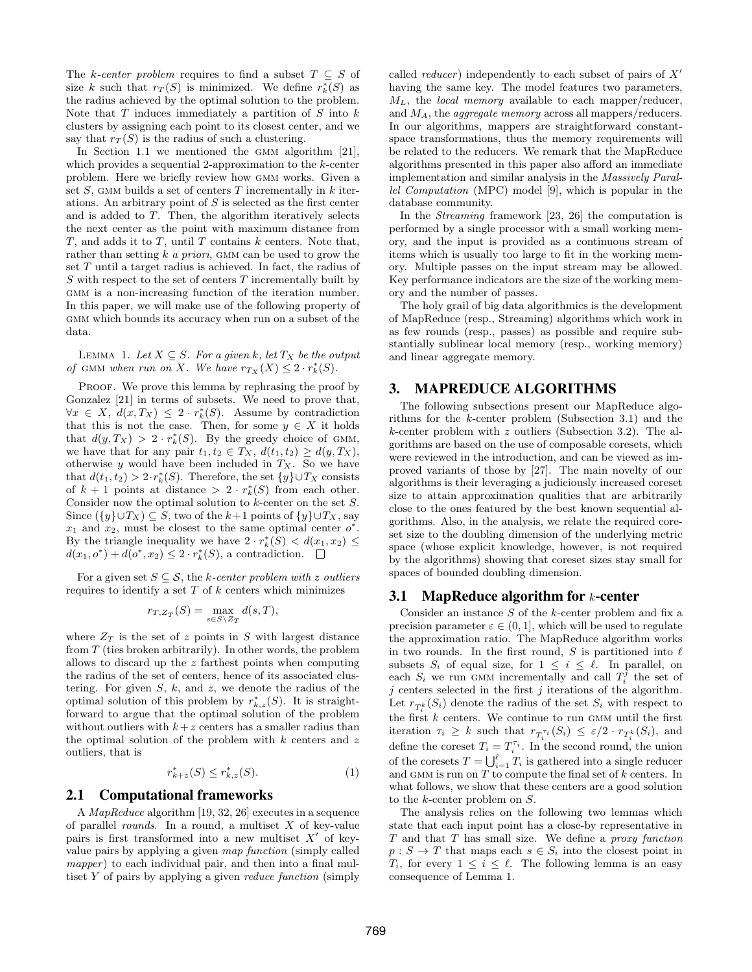The k-center problem requires to find a subset  $T \subseteq S$  of size k such that  $r_T(S)$  is minimized. We define  $r_k^*(S)$  as the radius achieved by the optimal solution to the problem. Note that  $T$  induces immediately a partition of  $S$  into  $k$ clusters by assigning each point to its closest center, and we say that  $r_T(S)$  is the radius of such a clustering.

In Section [1.1](#page-1-0) we mentioned the GMM algorithm [\[21\]](#page-12-13), which provides a sequential 2-approximation to the k-center problem. Here we briefly review how gmm works. Given a set  $S$ , GMM builds a set of centers  $T$  incrementally in  $k$  iterations. An arbitrary point of  $S$  is selected as the first center and is added to T. Then, the algorithm iteratively selects the next center as the point with maximum distance from  $T$ , and adds it to  $T$ , until  $T$  contains  $k$  centers. Note that, rather than setting  $k$  a priori, GMM can be used to grow the set T until a target radius is achieved. In fact, the radius of  $S$  with respect to the set of centers  $T$  incrementally built by GMM is a non-increasing function of the iteration number. In this paper, we will make use of the following property of GMM which bounds its accuracy when run on a subset of the data.

<span id="page-3-2"></span>LEMMA 1. Let  $X \subseteq S$ . For a given k, let  $T_X$  be the output of GMM when run on X. We have  $r_{T_X}(X) \leq 2 \cdot r_k^*(S)$ .

PROOF. We prove this lemma by rephrasing the proof by Gonzalez [\[21\]](#page-12-13) in terms of subsets. We need to prove that,  $\forall x \in X, d(x,T_X) \leq 2 \cdot r_k^*(S)$ . Assume by contradiction that this is not the case. Then, for some  $y \in X$  it holds that  $d(y,T_X) > 2 \cdot r_k^*(S)$ . By the greedy choice of GMM, we have that for any pair  $t_1, t_2 \in T_X$ ,  $d(t_1, t_2) \geq d(y, T_X)$ , otherwise  $y$  would have been included in  $T_X$ . So we have that  $d(t_1, t_2) > 2 \cdot r_k^*(S)$ . Therefore, the set  $\{y\} \cup T_X$  consists of  $k+1$  points at distance >  $2 \cdot r_k^*(S)$  from each other. Consider now the optimal solution to  $k$ -center on the set  $S$ . Since  $({y} \cup T_X) \subseteq S$ , two of the k+1 points of  ${y} \cup T_X$ , say  $x_1$  and  $x_2$ , must be closest to the same optimal center  $o^*$ . By the triangle inequality we have  $2 \cdot r_k^*(S) < d(x_1, x_2) \leq$  $d(x_1, o^*) + d(o^*, x_2) \leq 2 \cdot r_k^*(S)$ , a contradiction.

For a given set  $S \subseteq \mathcal{S}$ , the k-center problem with z outliers requires to identify a set  $T$  of  $k$  centers which minimizes

$$
r_{T,Z_T}(S) = \max_{s \in S \setminus Z_T} d(s,T),
$$

where  $Z_T$  is the set of z points in S with largest distance from  $T$  (ties broken arbitrarily). In other words, the problem allows to discard up the z farthest points when computing the radius of the set of centers, hence of its associated clustering. For given  $S, k$ , and  $z$ , we denote the radius of the optimal solution of this problem by  $r_{k,z}^*(S)$ . It is straightforward to argue that the optimal solution of the problem without outliers with  $k+z$  centers has a smaller radius than the optimal solution of the problem with  $k$  centers and  $z$ outliers, that is

<span id="page-3-4"></span>
$$
r_{k+z}^*(S) \le r_{k,z}^*(S). \tag{1}
$$

### 2.1 Computational frameworks

A MapReduce algorithm [\[19,](#page-12-14) [32,](#page-12-15) [26\]](#page-12-2) executes in a sequence of parallel *rounds*. In a round, a multiset  $X$  of key-value pairs is first transformed into a new multiset  $X'$  of keyvalue pairs by applying a given map function (simply called  $mapper)$  to each individual pair, and then into a final multiset  $Y$  of pairs by applying a given *reduce function* (simply

called *reducer*) independently to each subset of pairs of  $X'$ having the same key. The model features two parameters,  $M_L$ , the *local memory* available to each mapper/reducer, and  $M_A$ , the *aggregate memory* across all mappers/reducers. In our algorithms, mappers are straightforward constantspace transformations, thus the memory requirements will be related to the reducers. We remark that the MapReduce algorithms presented in this paper also afford an immediate implementation and similar analysis in the Massively Parallel Computation (MPC) model [\[9\]](#page-12-24), which is popular in the database community.

In the Streaming framework [\[23,](#page-12-22) [26\]](#page-12-2) the computation is performed by a single processor with a small working memory, and the input is provided as a continuous stream of items which is usually too large to fit in the working memory. Multiple passes on the input stream may be allowed. Key performance indicators are the size of the working memory and the number of passes.

The holy grail of big data algorithmics is the development of MapReduce (resp., Streaming) algorithms which work in as few rounds (resp., passes) as possible and require substantially sublinear local memory (resp., working memory) and linear aggregate memory.

# <span id="page-3-0"></span>3. MAPREDUCE ALGORITHMS

The following subsections present our MapReduce algorithms for the k-center problem (Subsection [3.1\)](#page-3-1) and the  $k$ -center problem with  $z$  outliers (Subsection [3.2\)](#page-4-0). The algorithms are based on the use of composable coresets, which were reviewed in the introduction, and can be viewed as improved variants of those by [\[27\]](#page-12-12). The main novelty of our algorithms is their leveraging a judiciously increased coreset size to attain approximation qualities that are arbitrarily close to the ones featured by the best known sequential algorithms. Also, in the analysis, we relate the required coreset size to the doubling dimension of the underlying metric space (whose explicit knowledge, however, is not required by the algorithms) showing that coreset sizes stay small for spaces of bounded doubling dimension.

### <span id="page-3-1"></span>3.1 MapReduce algorithm for  $k$ -center

Consider an instance S of the k-center problem and fix a precision parameter  $\varepsilon \in (0, 1]$ , which will be used to regulate the approximation ratio. The MapReduce algorithm works in two rounds. In the first round, S is partitioned into  $\ell$ subsets  $S_i$  of equal size, for  $1 \leq i \leq \ell$ . In parallel, on each  $S_i$  we run GMM incrementally and call  $T_i^{\hat{j}}$  the set of  $j$  centers selected in the first  $j$  iterations of the algorithm. Let  $r_{T_i^k}(S_i)$  denote the radius of the set  $S_i$  with respect to the first  $k$  centers. We continue to run GMM until the first iteration  $\tau_i \geq k$  such that  $r_{T_i^{\tau_i}}(S_i) \leq \varepsilon/2 \cdot r_{T_i^k}(S_i)$ , and define the coreset  $T_i = T_i^{\tau_i}$ . In the second round, the union of the coresets  $T = \bigcup_{i=1}^{\ell} T_i$  is gathered into a single reducer and GMM is run on  $T$  to compute the final set of  $k$  centers. In what follows, we show that these centers are a good solution to the k-center problem on S.

<span id="page-3-3"></span>The analysis relies on the following two lemmas which state that each input point has a close-by representative in T and that T has small size. We define a proxy function  $p: S \to T$  that maps each  $s \in S_i$  into the closest point in  $T_i$ , for every  $1 \leq i \leq \ell$ . The following lemma is an easy consequence of Lemma [1.](#page-3-2)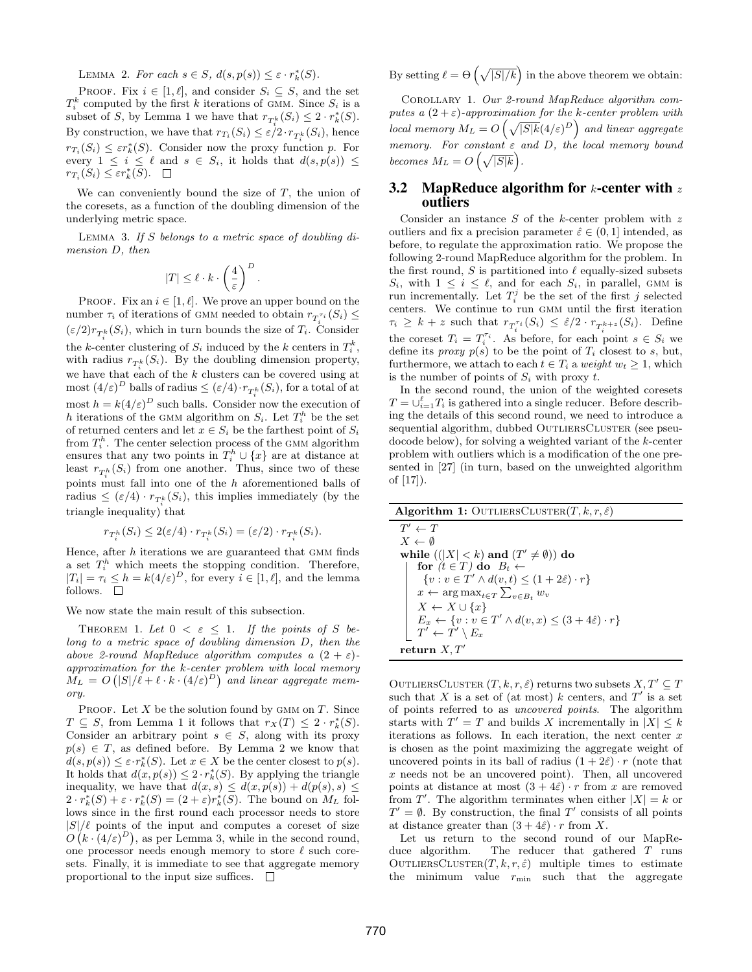LEMMA 2. For each  $s \in S$ ,  $d(s, p(s)) \leq \varepsilon \cdot r_k^*(S)$ .

PROOF. Fix  $i \in [1, \ell]$ , and consider  $S_i \subseteq S$ , and the set  $T_i^k$  computed by the first k iterations of GMM. Since  $S_i$  is a subset of S, by Lemma [1](#page-3-2) we have that  $r_{T_i^k}(S_i) \leq 2 \cdot r_k^*(S)$ . By construction, we have that  $r_{T_i}(S_i) \leq \varepsilon/2 \cdot r_{T_i^k}(S_i)$ , hence  $rr_i(S_i) \leq \varepsilon r_k^*(S)$ . Consider now the proxy function p. For every  $1 \leq i \leq \ell$  and  $s \in S_i$ , it holds that  $d(s, p(s)) \leq$  $r_{T_i}(S_i) \leq \varepsilon r_k^*(S).$ 

We can conveniently bound the size of  $T$ , the union of the coresets, as a function of the doubling dimension of the underlying metric space.

LEMMA 3. If  $S$  belongs to a metric space of doubling dimension D, then

<span id="page-4-1"></span>
$$
|T| \leq \ell \cdot k \cdot \left(\frac{4}{\varepsilon}\right)^D.
$$

PROOF. Fix an  $i \in [1, \ell]$ . We prove an upper bound on the number  $\tau_i$  of iterations of GMM needed to obtain  $r_{T_i^{\tau_i}}(S_i) \leq$  $(\varepsilon/2)r_{T_i^k}(S_i)$ , which in turn bounds the size of  $T_i$ . Consider the k-center clustering of  $S_i$  induced by the k centers in  $T_i^k$ , with radius  $r_{T_i^k}(S_i)$ . By the doubling dimension property, we have that each of the k clusters can be covered using at  $\text{most } (4/\varepsilon)^D \text{ balls of radius} \leq (\varepsilon/4) \cdot r_{T^k_i}(S_i) \text{, for a total of at }$ most  $h = k(4/\varepsilon)^D$  such balls. Consider now the execution of h iterations of the GMM algorithm on  $S_i$ . Let  $T_i^h$  be the set of returned centers and let  $x \in S_i$  be the farthest point of  $S_i$ from  $T_i^h$ . The center selection process of the GMM algorithm ensures that any two points in  $T_i^h \cup \{x\}$  are at distance at least  $r_{T_i^h}(S_i)$  from one another. Thus, since two of these points must fall into one of the h aforementioned balls of radius  $\leq (\varepsilon/4) \cdot r_{T_i^k}(S_i)$ , this implies immediately (by the triangle inequality) that

$$
r_{T_i^h}(S_i) \le 2(\varepsilon/4) \cdot r_{T_i^k}(S_i) = (\varepsilon/2) \cdot r_{T_i^k}(S_i).
$$

Hence, after  $h$  iterations we are guaranteed that GMM finds a set  $T_i^h$  which meets the stopping condition. Therefore,  $|T_i| = \tau_i \leq h = k(4/\varepsilon)^D$ , for every  $i \in [1, \ell]$ , and the lemma follows.  $\quad \Box$ 

We now state the main result of this subsection.

THEOREM 1. Let  $0 < \varepsilon \leq 1$ . If the points of S belong to a metric space of doubling dimension D, then the above 2-round MapReduce algorithm computes a  $(2 + \varepsilon)$ approximation for the k-center problem with local memory  $M_L = O\left(|S|/\ell + \ell \cdot k \cdot (4/\varepsilon)^D\right)$  and linear aggregate memory.

PROOF. Let  $X$  be the solution found by GMM on  $T$ . Since  $T \subseteq S$ , from Lemma [1](#page-3-2) it follows that  $r_X(T) \leq 2 \cdot r_k^*(S)$ . Consider an arbitrary point  $s \in S$ , along with its proxy  $p(s) \in T$ , as defined before. By Lemma [2](#page-3-3) we know that  $d(s, p(s)) \leq \varepsilon \cdot r_k^*(S)$ . Let  $x \in X$  be the center closest to  $p(s)$ . It holds that  $d(x, p(s)) \leq 2 \cdot r_k^*(S)$ . By applying the triangle inequality, we have that  $d(x, s) \leq d(x, p(s)) + d(p(s), s) \leq$  $2 \cdot r_k^*(S) + \varepsilon \cdot r_k^*(S) = (2 + \varepsilon)r_k^*(S)$ . The bound on  $M_L$  follows since in the first round each processor needs to store  $|S|/\ell$  points of the input and computes a coreset of size  $O(k \cdot (4/\varepsilon)^D)$ , as per Lemma [3,](#page-4-1) while in the second round, one processor needs enough memory to store  $\ell$  such coresets. Finally, it is immediate to see that aggregate memory proportional to the input size suffices.  $\Box$ 

By setting  $\ell = \Theta\left(\sqrt{|S|/k}\right)$  in the above theorem we obtain:

Corollary 1. Our 2-round MapReduce algorithm computes a  $(2 + \varepsilon)$ -approximation for the k-center problem with local memory  $M_L = O\left(\sqrt{|S|k}(4/\varepsilon)^D\right)$  and linear aggregate memory. For constant  $\varepsilon$  and D, the local memory bound becomes  $M_L = O\left(\sqrt{|S|k}\right)$ .

# <span id="page-4-0"></span>3.2 MapReduce algorithm for  $k$ -center with z outliers

Consider an instance  $S$  of the k-center problem with  $z$ outliers and fix a precision parameter  $\hat{\varepsilon} \in (0, 1]$  intended, as before, to regulate the approximation ratio. We propose the following 2-round MapReduce algorithm for the problem. In the first round, S is partitioned into  $\ell$  equally-sized subsets  $S_i$ , with  $1 \leq i \leq \ell$ , and for each  $S_i$ , in parallel, GMM is run incrementally. Let  $T_i^j$  be the set of the first j selected centers. We continue to run GMM until the first iteration  $\tau_i \geq k+z$  such that  $r_{T_i^{\tau_i}}(S_i) \leq \hat{\varepsilon}/2 \cdot r_{T_i^{k+z}}(S_i)$ . Define the coreset  $T_i = T_i^{\tau_i}$ . As before, for each point  $s \in S_i$  we define its *proxy*  $p(s)$  to be the point of  $T_i$  closest to s, but, furthermore, we attach to each  $t \in T_i$  a weight  $w_t \geq 1$ , which is the number of points of  $S_i$  with proxy t.

In the second round, the union of the weighted coresets  $T = \bigcup_{i=1}^{\ell} T_i$  is gathered into a single reducer. Before describing the details of this second round, we need to introduce a sequential algorithm, dubbed OUTLIERSCLUSTER (see pseudocode below), for solving a weighted variant of the k-center problem with outliers which is a modification of the one presented in [\[27\]](#page-12-12) (in turn, based on the unweighted algorithm of [\[17\]](#page-12-9)).

| <b>Algorithm 1:</b> OUTLIERSCLUSTER $(T, k, r, \hat{\varepsilon})$                    |
|---------------------------------------------------------------------------------------|
| $T' \leftarrow T$                                                                     |
| $X \leftarrow \emptyset$                                                              |
| while $(( X  < k)$ and $(T' \neq \emptyset))$ do                                      |
| for $(t \in T)$ do $B_t \leftarrow$                                                   |
| $\{v : v \in T' \wedge d(v, t) \leq (1 + 2\hat{\varepsilon}) \cdot r\}$               |
| $x \leftarrow \arg \max_{t \in T} \sum_{v \in B_t} w_v$                               |
| $X \leftarrow X \cup \{x\}$                                                           |
| $E_x \leftarrow \{v : v \in T' \land d(v, x) \leq (3 + 4\hat{\varepsilon}) \cdot r\}$ |
| $T' \leftarrow T' \setminus E_x$                                                      |
| return $X, T'$                                                                        |

OUTLIERSCLUSTER  $(T, k, r, \hat{\varepsilon})$  returns two subsets  $X, T' \subseteq T$ such that X is a set of (at most)  $k$  centers, and  $T'$  is a set of points referred to as uncovered points. The algorithm starts with  $T' = T$  and builds X incrementally in  $|X| \leq k$ iterations as follows. In each iteration, the next center  $x$ is chosen as the point maximizing the aggregate weight of uncovered points in its ball of radius  $(1+2\hat{\epsilon}) \cdot r$  (note that x needs not be an uncovered point). Then, all uncovered points at distance at most  $(3+4\hat{\epsilon}) \cdot r$  from x are removed from T'. The algorithm terminates when either  $|X| = k$  or  $T' = \emptyset$ . By construction, the final T' consists of all points at distance greater than  $(3 + 4\hat{\varepsilon}) \cdot r$  from X.

Let us return to the second round of our MapReduce algorithm. The reducer that gathered T runs OUTLIERSCLUSTER $(T, k, r, \hat{\varepsilon})$  multiple times to estimate the minimum value  $r_{\min}$  such that the aggregate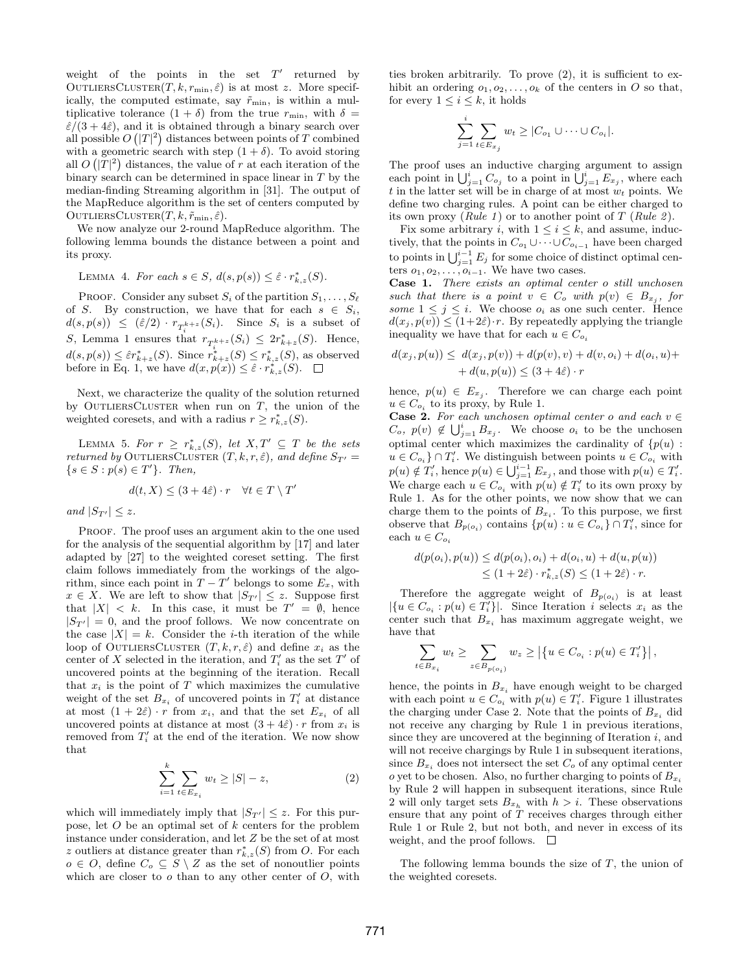weight of the points in the set  $T'$  returned by OUTLIERSCLUSTER $(T, k, r_{\min}, \hat{\varepsilon})$  is at most z. More specifically, the computed estimate, say  $\tilde{r}_{\min}$ , is within a multiplicative tolerance  $(1 + \delta)$  from the true  $r_{\min}$ , with  $\delta =$  $\hat{\varepsilon}/(3+4\hat{\varepsilon})$ , and it is obtained through a binary search over all possible  $O(|T|^2)$  distances between points of T combined with a geometric search with step  $(1 + \delta)$ . To avoid storing all  $O(|T|^2)$  distances, the value of r at each iteration of the binary search can be determined in space linear in T by the median-finding Streaming algorithm in [\[31\]](#page-12-25). The output of the MapReduce algorithm is the set of centers computed by OUTLIERSCLUSTER $(T, k, \tilde{r}_{\min}, \hat{\varepsilon})$ .

We now analyze our 2-round MapReduce algorithm. The following lemma bounds the distance between a point and its proxy.

<span id="page-5-3"></span>LEMMA 4. For each  $s \in S$ ,  $d(s, p(s)) \leq \hat{\varepsilon} \cdot r^*_{k,z}(S)$ .

PROOF. Consider any subset  $S_i$  of the partition  $S_1, \ldots, S_\ell$ of S. By construction, we have that for each  $s \in S_i$ ,  $d(s, p(s)) \leq (\hat{\varepsilon}/2) \cdot r_{T_i^{k+z}}(S_i)$ . Since  $S_i$  is a subset of S, Lemma [1](#page-3-2) ensures that  $r_{T_i^{k+z}}(S_i) \leq 2r_{k+z}^*(S)$ . Hence,  $d(s, p(s)) \leq \hat{\varepsilon}r_{k+z}^*(S)$ . Since  $r_{k+z}^*(S) \leq r_{k,z}^*(S)$ , as observed before in Eq. [1,](#page-3-4) we have  $d(x, p(x)) \leq \hat{\varepsilon} \cdot r^*_{k,z}(S)$ .

Next, we characterize the quality of the solution returned by OUTLIERSCLUSTER when run on  $T$ , the union of the weighted coresets, and with a radius  $r \geq r_{k,z}^*(S)$ .

<span id="page-5-1"></span>LEMMA 5. For  $r \geq r_{k,z}^*(S)$ , let  $X,T' \subseteq T$  be the sets returned by OUTLIERSCLUSTER  $(T, k, r, \hat{\varepsilon})$ , and define  $S_{T'} =$  $\{s \in S : p(s) \in T'\}.$  Then,

$$
d(t, X) \le (3 + 4\hat{\varepsilon}) \cdot r \quad \forall t \in T \setminus T'
$$

and  $|S_{T'}| \leq z$ .

PROOF. The proof uses an argument akin to the one used for the analysis of the sequential algorithm by [\[17\]](#page-12-9) and later adapted by [\[27\]](#page-12-12) to the weighted coreset setting. The first claim follows immediately from the workings of the algorithm, since each point in  $T - T'$  belongs to some  $E_x$ , with  $x \in X$ . We are left to show that  $|S_{T'}| \leq z$ . Suppose first that  $|X| < k$ . In this case, it must be  $T' = \emptyset$ , hence  $|S_{T'}| = 0$ , and the proof follows. We now concentrate on the case  $|X| = k$ . Consider the *i*-th iteration of the while loop of OUTLIERSCLUSTER  $(T, k, r, \hat{\varepsilon})$  and define  $x_i$  as the center of X selected in the iteration, and  $T_i'$  as the set T' of uncovered points at the beginning of the iteration. Recall that  $x_i$  is the point of T which maximizes the cumulative weight of the set  $B_{x_i}$  of uncovered points in  $T_i'$  at distance at most  $(1 + 2\hat{\epsilon}) \cdot r$  from  $x_i$ , and that the set  $E_{x_i}$  of all uncovered points at distance at most  $(3 + 4\hat{\varepsilon}) \cdot r$  from  $x_i$  is removed from  $T_i'$  at the end of the iteration. We now show that

<span id="page-5-0"></span>
$$
\sum_{i=1}^{k} \sum_{t \in E_{x_i}} w_t \ge |S| - z,
$$
\n(2)

which will immediately imply that  $|S_{T'}| \leq z$ . For this purpose, let O be an optimal set of k centers for the problem instance under consideration, and let Z be the set of at most z outliers at distance greater than  $r_{k,z}^*(S)$  from O. For each  $o \in O$ , define  $C_o \subseteq S \setminus Z$  as the set of nonoutlier points which are closer to  $o$  than to any other center of  $O$ , with ties broken arbitrarily. To prove [\(2\)](#page-5-0), it is sufficient to exhibit an ordering  $o_1, o_2, \ldots, o_k$  of the centers in O so that, for every  $1 \leq i \leq k$ , it holds

$$
\sum_{j=1}^i \sum_{t \in E_{x_j}} w_t \ge |C_{o_1} \cup \dots \cup C_{o_i}|.
$$

The proof uses an inductive charging argument to assign each point in  $\bigcup_{j=1}^{i} C_{o_j}$  to a point in  $\bigcup_{j=1}^{i} E_{x_j}$ , where each t in the latter set will be in charge of at most  $w_t$  points. We define two charging rules. A point can be either charged to its own proxy (*Rule 1*) or to another point of  $T$  (*Rule 2*).

Fix some arbitrary i, with  $1 \leq i \leq k$ , and assume, inductively, that the points in  $C_{o_1} \cup \cdots \cup C_{o_{i-1}}$  have been charged to points in  $\bigcup_{j=1}^{i-1} E_j$  for some choice of distinct optimal centers  $o_1, o_2, \ldots, o_{i-1}$ . We have two cases.

Case 1. There exists an optimal center o still unchosen such that there is a point  $v \in C_o$  with  $p(v) \in B_{x_j}$ , for some  $1 \leq j \leq i$ . We choose  $o_i$  as one such center. Hence  $d(x_j, p(v)) \leq (1+2\hat{\varepsilon}) \cdot r$ . By repeatedly applying the triangle inequality we have that for each  $u \in C_{o_i}$ 

$$
d(x_j, p(u)) \leq d(x_j, p(v)) + d(p(v), v) + d(v, o_i) + d(o_i, u) + d(u, p(u)) \leq (3 + 4\hat{\varepsilon}) \cdot r
$$

hence,  $p(u) \in E_{x_j}$ . Therefore we can charge each point  $u \in C_{o_i}$  to its proxy, by Rule 1.

**Case 2.** For each unchosen optimal center o and each  $v \in$  $C_o$ ,  $p(v) \notin \bigcup_{j=1}^i B_{x_j}$ . We choose  $o_i$  to be the unchosen optimal center which maximizes the cardinality of  $\{p(u):$  $u \in C_{o_i}$   $\} \cap T'_i$ . We distinguish between points  $u \in C_{o_i}$  with  $p(u) \notin T'_i$ , hence  $p(u) \in \bigcup_{j=1}^{i-1} E_{x_j}$ , and those with  $p(u) \in T'_i$ . We charge each  $u \in C_{o_i}$  with  $p(u) \notin T'_i$  to its own proxy by Rule 1. As for the other points, we now show that we can charge them to the points of  $B_{x_i}$ . To this purpose, we first observe that  $B_{p(o_i)}$  contains  $\{p(u) : u \in C_{o_i}\} \cap T_i'$ , since for each  $u \in C_{o_i}$ 

$$
d(p(o_i), p(u)) \leq d(p(o_i), o_i) + d(o_i, u) + d(u, p(u))
$$
  
\n
$$
\leq (1 + 2\hat{\varepsilon}) \cdot r_{k,z}^*(S) \leq (1 + 2\hat{\varepsilon}) \cdot r.
$$

Therefore the aggregate weight of  $B_{p(o_i)}$  is at least  $|\{u \in C_{o_i} : p(u) \in T'_i\}|$ . Since Iteration *i* selects  $x_i$  as the center such that  $B_{x_i}$  has maximum aggregate weight, we have that

$$
\sum_{t \in B_{x_i}} w_t \geq \sum_{z \in B_{p(o_i)}} w_z \geq \left| \left\{ u \in C_{o_i} : p(u) \in T'_i \right\} \right|,
$$

hence, the points in  $B_{x_i}$  have enough weight to be charged with each point  $u \in C_{o_i}$  with  $p(u) \in T_i'$ . Figure [1](#page-6-0) illustrates the charging under Case 2. Note that the points of  $B_{x_i}$  did not receive any charging by Rule 1 in previous iterations, since they are uncovered at the beginning of Iteration  $i$ , and will not receive chargings by Rule 1 in subsequent iterations, since  $B_{x_i}$  does not intersect the set  $C_o$  of any optimal center o yet to be chosen. Also, no further charging to points of  $B_{x_i}$ by Rule 2 will happen in subsequent iterations, since Rule 2 will only target sets  $B_{x_h}$  with  $h > i$ . These observations ensure that any point of  $T$  receives charges through either Rule 1 or Rule 2, but not both, and never in excess of its weight, and the proof follows.  $\square$ 

<span id="page-5-2"></span>The following lemma bounds the size of  $T$ , the union of the weighted coresets.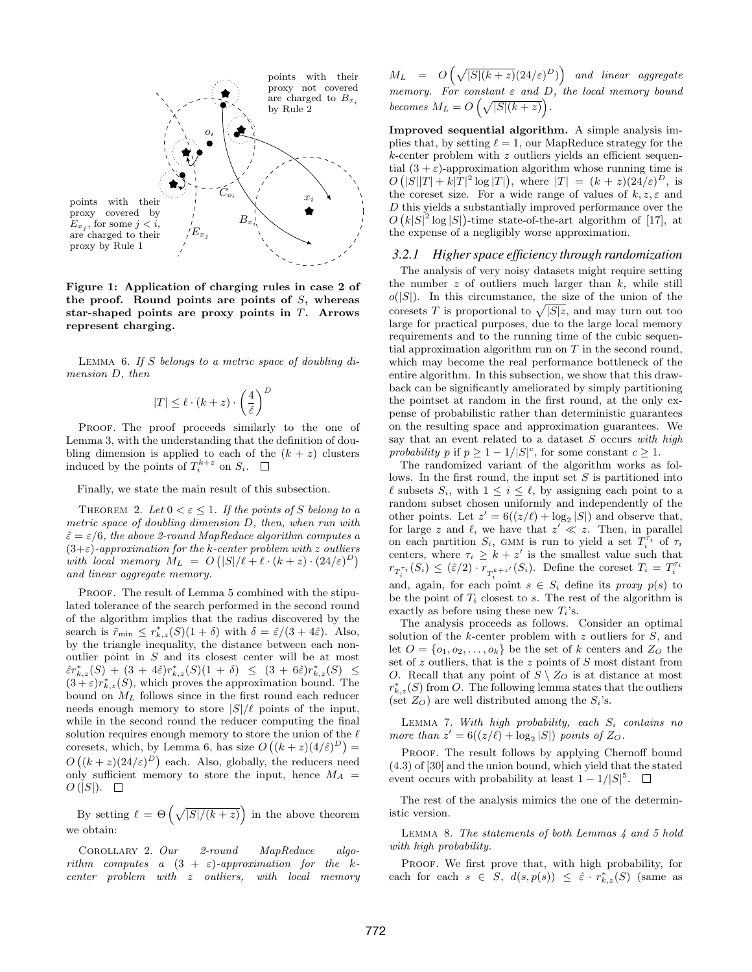

<span id="page-6-0"></span>Figure 1: Application of charging rules in case 2 of the proof. Round points are points of  $S$ , whereas star-shaped points are proxy points in T. Arrows represent charging.

LEMMA 6. If S belongs to a metric space of doubling dimension D, then

$$
|T| \le \ell \cdot (k+z) \cdot \left(\frac{4}{\hat{\varepsilon}}\right)^D
$$

PROOF. The proof proceeds similarly to the one of Lemma [3,](#page-4-1) with the understanding that the definition of doubling dimension is applied to each of the  $(k + z)$  clusters induced by the points of  $T_i^{k+z}$  on  $S_i$ .

Finally, we state the main result of this subsection.

THEOREM 2. Let  $0 < \varepsilon \leq 1$ . If the points of S belong to a metric space of doubling dimension D, then, when run with  $\hat{\varepsilon} = \varepsilon/6$ , the above 2-round MapReduce algorithm computes a  $(3+\varepsilon)$ -approximation for the k-center problem with z outliers with local memory  $M_L = O(|S|/\ell + \ell \cdot (k+z) \cdot (24/\varepsilon)^D)$ and linear aggregate memory.

PROOF. The result of Lemma [5](#page-5-1) combined with the stipulated tolerance of the search performed in the second round of the algorithm implies that the radius discovered by the search is  $\tilde{r}_{\min} \leq r_{k,z}^*(S)(1+\delta)$  with  $\delta = \hat{\varepsilon}/(3+4\hat{\varepsilon})$ . Also, by the triangle inequality, the distance between each nonoutlier point in S and its closest center will be at most  $\hat{\varepsilon}r_{k,z}^*(S) + (3+4\hat{\varepsilon})r_{k,z}^*(S)(1+\delta) \ \leq \ (3+6\hat{\varepsilon})r_{k,z}^*(S) \ \leq$  $(3+\varepsilon)r^*_{k,z}(S)$ , which proves the approximation bound. The bound on  $M_L$  follows since in the first round each reducer needs enough memory to store  $|S|/\ell$  points of the input, while in the second round the reducer computing the final solution requires enough memory to store the union of the  $\ell$ coresets, which, by Lemma [6,](#page-5-2) has size  $O((k+z)(4/\hat{\varepsilon})^D)$  =  $O((k+z)(24/\varepsilon)^D)$  each. Also, globally, the reducers need only sufficient memory to store the input, hence  $M_A =$  $O(|S|)$ .  $\square$ 

By setting  $\ell = \Theta\left(\sqrt{|S|/(k+z)}\right)$  in the above theorem we obtain:

Corollary 2. Our 2-round MapReduce algorithm computes a  $(3 + \varepsilon)$ -approximation for the kcenter problem with z outliers, with local memory

 $M_L = O\left(\sqrt{|S|(k+z)}(24/\varepsilon)^D)\right)$  and linear aggregate memory. For constant  $\varepsilon$  and  $D$ , the local memory bound becomes  $M_L = O\left(\sqrt{|S|(k+z)}\right)$ .

Improved sequential algorithm. A simple analysis implies that, by setting  $\ell = 1$ , our MapReduce strategy for the  $k$ -center problem with z outliers yields an efficient sequential  $(3 + \varepsilon)$ -approximation algorithm whose running time is  $O(|S||T| + k|T|^2 \log |T|)$ , where  $|T| = (k + z)(24/\varepsilon)^D$ , is the coreset size. For a wide range of values of  $k, z, \varepsilon$  and D this yields a substantially improved performance over the  $O(k|S|^2 \log |S|)$ -time state-of-the-art algorithm of [\[17\]](#page-12-9), at the expense of a negligibly worse approximation.

### *3.2.1 Higher space efficiency through randomization*

The analysis of very noisy datasets might require setting the number  $z$  of outliers much larger than  $k$ , while still  $o(|S|)$ . In this circumstance, the size of the union of the coresets T is proportional to  $\sqrt{|S|z}$ , and may turn out too large for practical purposes, due to the large local memory requirements and to the running time of the cubic sequential approximation algorithm run on  $T$  in the second round, which may become the real performance bottleneck of the entire algorithm. In this subsection, we show that this drawback can be significantly ameliorated by simply partitioning the pointset at random in the first round, at the only expense of probabilistic rather than deterministic guarantees on the resulting space and approximation guarantees. We say that an event related to a dataset  $S$  occurs with high probability p if  $p \geq 1 - 1/|S|^c$ , for some constant  $c \geq 1$ .

<span id="page-6-2"></span>The randomized variant of the algorithm works as follows. In the first round, the input set  $S$  is partitioned into  $\ell$  subsets  $S_i$ , with  $1 \leq i \leq \ell$ , by assigning each point to a random subset chosen uniformly and independently of the other points. Let  $z' = 6((z/\ell) + \log_2 |S|)$  and observe that, for large z and  $\ell$ , we have that  $z' \ll z$ . Then, in parallel on each partition  $S_i$ , GMM is run to yield a set  $T_i^{\tau_i}$  of  $\tau_i$ centers, where  $\tau_i \geq k + z'$  is the smallest value such that  $r_{T_i^{\tau_i}}(S_i) \leq (\hat{\varepsilon}/2) \cdot r_{T_i^{k+z'}}(S_i)$ . Define the coreset  $T_i = T_i^{\tau_i}$ and, again, for each point  $s \in S_i$  define its proxy  $p(s)$  to be the point of  $T_i$  closest to s. The rest of the algorithm is exactly as before using these new  $T_i$ 's.

The analysis proceeds as follows. Consider an optimal solution of the  $k$ -center problem with  $z$  outliers for  $S$ , and let  $O = \{o_1, o_2, \ldots, o_k\}$  be the set of k centers and  $Z_O$  the set of  $z$  outliers, that is the  $z$  points of  $S$  most distant from O. Recall that any point of  $S \setminus Z_O$  is at distance at most  $r_{k,z}^*(S)$  from O. The following lemma states that the outliers (set  $Z_O$ ) are well distributed among the  $S_i$ 's.

<span id="page-6-1"></span>LEMMA 7. With high probability, each  $S_i$  contains no more than  $z' = 6((z/\ell) + \log_2 |S|)$  points of  $Z_O$ .

PROOF. The result follows by applying Chernoff bound (4.3) of [\[30\]](#page-12-26) and the union bound, which yield that the stated event occurs with probability at least  $1 - 1/|S|^5$ .

The rest of the analysis mimics the one of the deterministic version.

LEMMA 8. The statements of both Lemmas [4](#page-5-3) and [5](#page-5-1) hold with high probability.

PROOF. We first prove that, with high probability, for each for each  $s \in S$ ,  $d(s, p(s)) \leq \hat{\varepsilon} \cdot r^*_{k,z}(S)$  (same as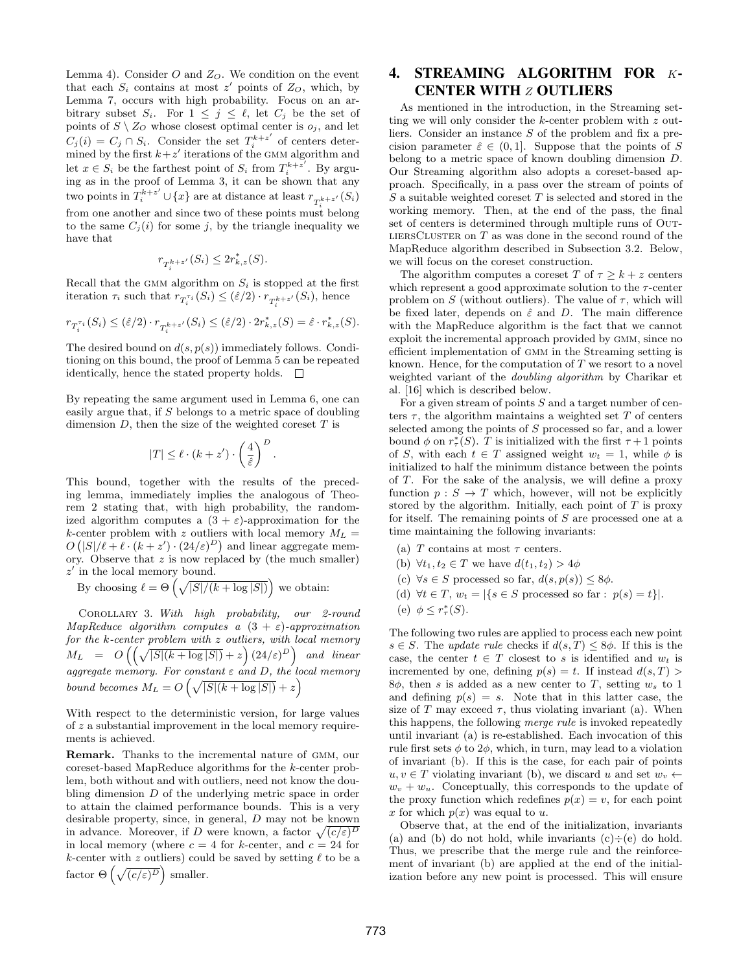Lemma [4\)](#page-5-3). Consider  $O$  and  $Z_O$ . We condition on the event that each  $S_i$  contains at most z' points of  $Z_O$ , which, by Lemma [7,](#page-6-1) occurs with high probability. Focus on an arbitrary subset  $S_i$ . For  $1 \leq j \leq \ell$ , let  $C_j$  be the set of points of  $S \setminus Z_O$  whose closest optimal center is  $o_j$ , and let  $C_j(i) = C_j \cap S_i$ . Consider the set  $T_i^{k+z'}$  $i^{k+z'}$  of centers determined by the first  $k + z'$  iterations of the GMM algorithm and let  $x \in S_i$  be the farthest point of  $S_i$  from  $T_i^{k+z'}$  $i^{k+z}$  . By arguing as in the proof of Lemma [3,](#page-4-1) it can be shown that any two points in  $T_i^{k+z'} \cup \{x\}$  are at distance at least  $r_{T_i^{k+z'}}(S_i)$ from one another and since two of these points must belong to the same  $C_i(i)$  for some j, by the triangle inequality we have that

$$
r_{T_i^{k+z'}}(S_i) \le 2r_{k,z}^*(S).
$$

Recall that the GMM algorithm on  $S_i$  is stopped at the first iteration  $\tau_i$  such that  $r_{T_i^{\tau_i}}(S_i) \leq (\hat{\varepsilon}/2) \cdot r_{T_i^{k+z'}}(S_i)$ , hence

$$
r_{T_i^{\tau_i}}(S_i) \le (\hat{\varepsilon}/2) \cdot r_{T_i^{k+z'}}(S_i) \le (\hat{\varepsilon}/2) \cdot 2r_{k,z}^*(S) = \hat{\varepsilon} \cdot r_{k,z}^*(S).
$$

The desired bound on  $d(s, p(s))$  immediately follows. Conditioning on this bound, the proof of Lemma [5](#page-5-1) can be repeated identically, hence the stated property holds.  $\Box$ 

By repeating the same argument used in Lemma [6,](#page-5-2) one can easily argue that, if S belongs to a metric space of doubling dimension  $D$ , then the size of the weighted coreset  $T$  is

$$
|T| \leq \ell \cdot (k + z') \cdot \left(\frac{4}{\hat{\varepsilon}}\right)^D.
$$

This bound, together with the results of the preceding lemma, immediately implies the analogous of Theorem [2](#page-6-2) stating that, with high probability, the randomized algorithm computes a  $(3 + \varepsilon)$ -approximation for the k-center problem with z outliers with local memory  $M_L =$  $O(|S|/\ell + \ell \cdot (k + z') \cdot (24/\varepsilon)^D)$  and linear aggregate memory. Observe that  $z$  is now replaced by (the much smaller)  $z'$  in the local memory bound.

By choosing  $\ell = \Theta\left(\sqrt{|S|/(k + \log |S|)}\right)$  we obtain:

Corollary 3. With high probability, our 2-round MapReduce algorithm computes a  $(3 + \varepsilon)$ -approximation for the k-center problem with z outliers, with local memory  $M_L = O\left(\left(\sqrt{|S|(k+\log |S|)}+z\right)(24/\varepsilon)^D\right)$  and linear aggregate memory. For constant  $\varepsilon$  and  $D$ , the local memory bound becomes  $M_L = O\left(\sqrt{|S|(k + \log |S|)} + z\right)$ 

With respect to the deterministic version, for large values of z a substantial improvement in the local memory requirements is achieved.

Remark. Thanks to the incremental nature of gmm, our coreset-based MapReduce algorithms for the k-center problem, both without and with outliers, need not know the doubling dimension D of the underlying metric space in order to attain the claimed performance bounds. This is a very desirable property, since, in general, D may not be known in advance. Moreover, if D were known, a factor  $\sqrt{(c/\varepsilon)^D}$ in local memory (where  $c = 4$  for k-center, and  $c = 24$  for k-center with z outliers) could be saved by setting  $\ell$  to be a factor  $\Theta\left(\sqrt{(c/\varepsilon)^D}\right)$  smaller.

# <span id="page-7-0"></span>4. STREAMING ALGORITHM FOR K-CENTER WITH *z* OUTLIERS

As mentioned in the introduction, in the Streaming setting we will only consider the  $k$ -center problem with  $z$  outliers. Consider an instance S of the problem and fix a precision parameter  $\hat{\varepsilon} \in (0,1]$ . Suppose that the points of S belong to a metric space of known doubling dimension D. Our Streaming algorithm also adopts a coreset-based approach. Specifically, in a pass over the stream of points of  $S$  a suitable weighted coreset  $T$  is selected and stored in the working memory. Then, at the end of the pass, the final set of centers is determined through multiple runs of Out-LIERSCLUSTER on  $T$  as was done in the second round of the MapReduce algorithm described in Subsection [3.2.](#page-4-0) Below, we will focus on the coreset construction.

The algorithm computes a coreset T of  $\tau \geq k + z$  centers which represent a good approximate solution to the  $\tau$ -center problem on S (without outliers). The value of  $\tau$ , which will be fixed later, depends on  $\hat{\varepsilon}$  and D. The main difference with the MapReduce algorithm is the fact that we cannot exploit the incremental approach provided by GMM, since no efficient implementation of GMM in the Streaming setting is known. Hence, for the computation of  $T$  we resort to a novel weighted variant of the doubling algorithm by Charikar et al. [\[16\]](#page-12-23) which is described below.

For a given stream of points  $S$  and a target number of centers  $\tau$ , the algorithm maintains a weighted set  $T$  of centers selected among the points of S processed so far, and a lower bound  $\phi$  on  $r^*_{\tau}(S)$ . T is initialized with the first  $\tau + 1$  points of S, with each  $t \in T$  assigned weight  $w_t = 1$ , while  $\phi$  is initialized to half the minimum distance between the points of T. For the sake of the analysis, we will define a proxy function  $p : S \to T$  which, however, will not be explicitly stored by the algorithm. Initially, each point of  $T$  is proxy for itself. The remaining points of S are processed one at a time maintaining the following invariants:

- (a) T contains at most  $\tau$  centers.
- (b)  $\forall t_1, t_2 \in T$  we have  $d(t_1, t_2) > 4\phi$
- (c)  $\forall s \in S$  processed so far,  $d(s, p(s)) \leq 8\phi$ .
- (d)  $\forall t \in T$ ,  $w_t = |\{s \in S \text{ processed so far}: p(s) = t\}|$ .
- (e)  $\phi \leq r^*_{\tau}(S)$ .

The following two rules are applied to process each new point  $s \in S$ . The update rule checks if  $d(s,T) \leq 8\phi$ . If this is the case, the center  $t \in T$  closest to s is identified and  $w_t$  is incremented by one, defining  $p(s) = t$ . If instead  $d(s, T)$ 8 $\phi$ , then s is added as a new center to T, setting  $w_s$  to 1 and defining  $p(s) = s$ . Note that in this latter case, the size of T may exceed  $\tau$ , thus violating invariant (a). When this happens, the following merge rule is invoked repeatedly until invariant (a) is re-established. Each invocation of this rule first sets  $\phi$  to  $2\phi$ , which, in turn, may lead to a violation of invariant (b). If this is the case, for each pair of points  $u, v \in T$  violating invariant (b), we discard u and set  $w_v \leftarrow$  $w_v + w_u$ . Conceptually, this corresponds to the update of the proxy function which redefines  $p(x) = v$ , for each point x for which  $p(x)$  was equal to u.

Observe that, at the end of the initialization, invariants (a) and (b) do not hold, while invariants  $(c) \div (e)$  do hold. Thus, we prescribe that the merge rule and the reinforcement of invariant (b) are applied at the end of the initialization before any new point is processed. This will ensure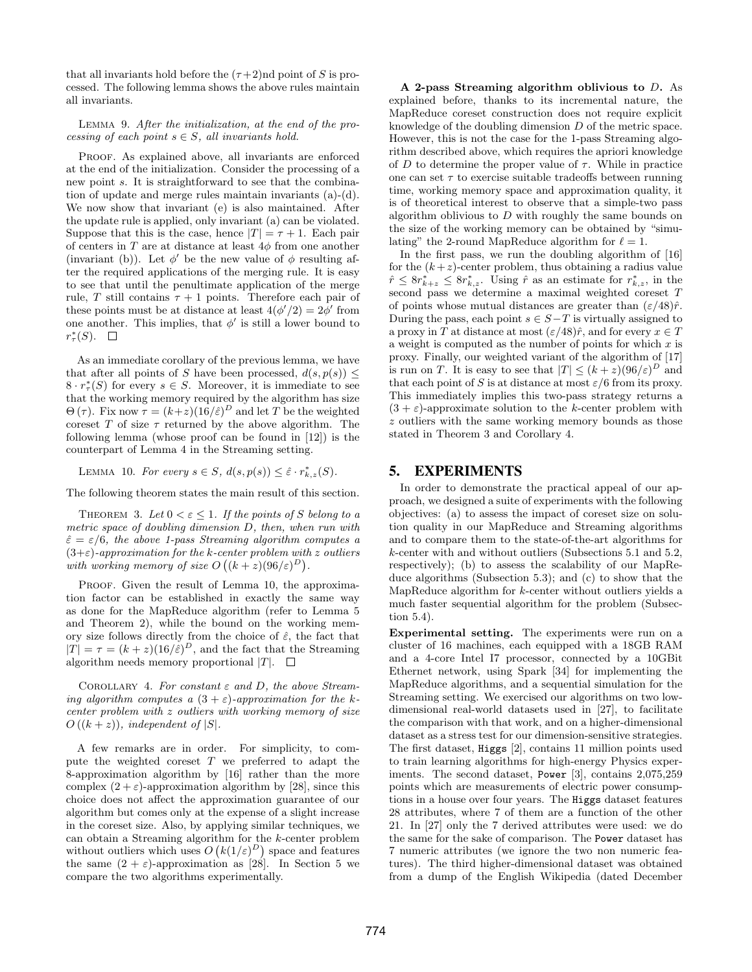that all invariants hold before the  $(\tau+2)$ nd point of S is processed. The following lemma shows the above rules maintain all invariants.

#### Lemma 9. After the initialization, at the end of the processing of each point  $s \in S$ , all invariants hold.

PROOF. As explained above, all invariants are enforced at the end of the initialization. Consider the processing of a new point s. It is straightforward to see that the combination of update and merge rules maintain invariants (a)-(d). We now show that invariant (e) is also maintained. After the update rule is applied, only invariant (a) can be violated. Suppose that this is the case, hence  $|T| = \tau + 1$ . Each pair of centers in T are at distance at least  $4\phi$  from one another (invariant (b)). Let  $\phi'$  be the new value of  $\phi$  resulting after the required applications of the merging rule. It is easy to see that until the penultimate application of the merge rule, T still contains  $\tau + 1$  points. Therefore each pair of these points must be at distance at least  $4(\phi'/2) = 2\phi'$  from one another. This implies, that  $\phi'$  is still a lower bound to  $r^*_{\tau}(S)$ .

As an immediate corollary of the previous lemma, we have that after all points of S have been processed,  $d(s, p(s))$  <  $8 \cdot r^*_{\tau}(S)$  for every  $s \in S$ . Moreover, it is immediate to see that the working memory required by the algorithm has size  $\Theta(\tau)$ . Fix now  $\tau = (k+z)(16/\hat{\varepsilon})^D$  and let T be the weighted coreset T of size  $\tau$  returned by the above algorithm. The following lemma (whose proof can be found in [\[12\]](#page-12-27)) is the counterpart of Lemma [4](#page-5-3) in the Streaming setting.

LEMMA 10. For every  $s \in S$ ,  $d(s, p(s)) \leq \hat{\varepsilon} \cdot r^*_{k,z}(S)$ .

The following theorem states the main result of this section.

THEOREM 3. Let  $0 < \varepsilon \leq 1$ . If the points of S belong to a metric space of doubling dimension D, then, when run with  $\hat{\varepsilon} = \varepsilon/6$ , the above 1-pass Streaming algorithm computes a  $(3+\varepsilon)$ -approximation for the k-center problem with z outliers with working memory of size  $O((k+z)(96/\varepsilon)^D)$ .

PROOF. Given the result of Lemma [10,](#page-8-1) the approximation factor can be established in exactly the same way as done for the MapReduce algorithm (refer to Lemma [5](#page-5-1) and Theorem [2\)](#page-6-2), while the bound on the working memory size follows directly from the choice of  $\hat{\varepsilon}$ , the fact that  $|T| = \tau = (k+z)(16/\hat{\varepsilon})^D$ , and the fact that the Streaming algorithm needs memory proportional  $|T|$ .  $\square$ 

<span id="page-8-3"></span>COROLLARY 4. For constant  $\varepsilon$  and D, the above Streaming algorithm computes a  $(3 + \varepsilon)$ -approximation for the kcenter problem with z outliers with working memory of size  $O((k+z))$ , independent of  $|S|$ .

A few remarks are in order. For simplicity, to compute the weighted coreset  $T$  we preferred to adapt the 8-approximation algorithm by [\[16\]](#page-12-23) rather than the more complex  $(2 + \varepsilon)$ -approximation algorithm by [\[28\]](#page-12-10), since this choice does not affect the approximation guarantee of our algorithm but comes only at the expense of a slight increase in the coreset size. Also, by applying similar techniques, we can obtain a Streaming algorithm for the k-center problem without outliers which uses  $O(k(1/\varepsilon)^D)$  space and features the same  $(2 + \varepsilon)$ -approximation as [\[28\]](#page-12-10). In Section [5](#page-8-0) we compare the two algorithms experimentally.

A 2-pass Streaming algorithm oblivious to D. As explained before, thanks to its incremental nature, the MapReduce coreset construction does not require explicit knowledge of the doubling dimension D of the metric space. However, this is not the case for the 1-pass Streaming algorithm described above, which requires the apriori knowledge of D to determine the proper value of  $\tau$ . While in practice one can set  $\tau$  to exercise suitable tradeoffs between running time, working memory space and approximation quality, it is of theoretical interest to observe that a simple-two pass algorithm oblivious to  $D$  with roughly the same bounds on the size of the working memory can be obtained by "simulating" the 2-round MapReduce algorithm for  $\ell = 1$ .

In the first pass, we run the doubling algorithm of [\[16\]](#page-12-23) for the  $(k+z)$ -center problem, thus obtaining a radius value  $\hat{r} \leq 8r_{k+z}^* \leq 8r_{k,z}^*$ . Using  $\hat{r}$  as an estimate for  $r_{k,z}^*$ , in the second pass we determine a maximal weighted coreset T of points whose mutual distances are greater than  $(\varepsilon/48)\hat{r}$ . During the pass, each point  $s \in S-T$  is virtually assigned to a proxy in T at distance at most  $(\varepsilon/48)\hat{r}$ , and for every  $x \in T$ a weight is computed as the number of points for which  $x$  is proxy. Finally, our weighted variant of the algorithm of [\[17\]](#page-12-9) is run on T. It is easy to see that  $|T| \leq (k+z)(96/\varepsilon)^D$  and that each point of S is at distance at most  $\varepsilon/6$  from its proxy. This immediately implies this two-pass strategy returns a  $(3 + \varepsilon)$ -approximate solution to the k-center problem with z outliers with the same working memory bounds as those stated in Theorem [3](#page-8-2) and Corollary [4.](#page-8-3)

## <span id="page-8-1"></span><span id="page-8-0"></span>5. EXPERIMENTS

<span id="page-8-2"></span>In order to demonstrate the practical appeal of our approach, we designed a suite of experiments with the following objectives: (a) to assess the impact of coreset size on solution quality in our MapReduce and Streaming algorithms and to compare them to the state-of-the-art algorithms for k-center with and without outliers (Subsections [5.1](#page-9-0) and [5.2,](#page-9-1) respectively); (b) to assess the scalability of our MapReduce algorithms (Subsection [5.3\)](#page-10-0); and (c) to show that the MapReduce algorithm for  $k$ -center without outliers yields a much faster sequential algorithm for the problem (Subsection [5.4\)](#page-11-1).

Experimental setting. The experiments were run on a cluster of 16 machines, each equipped with a 18GB RAM and a 4-core Intel I7 processor, connected by a 10GBit Ethernet network, using Spark [\[34\]](#page-12-28) for implementing the MapReduce algorithms, and a sequential simulation for the Streaming setting. We exercised our algorithms on two lowdimensional real-world datasets used in [\[27\]](#page-12-12), to facilitate the comparison with that work, and on a higher-dimensional dataset as a stress test for our dimension-sensitive strategies. The first dataset, Higgs [\[2\]](#page-12-29), contains 11 million points used to train learning algorithms for high-energy Physics experiments. The second dataset, Power [\[3\]](#page-12-30), contains 2,075,259 points which are measurements of electric power consumptions in a house over four years. The Higgs dataset features 28 attributes, where 7 of them are a function of the other 21. In [\[27\]](#page-12-12) only the 7 derived attributes were used: we do the same for the sake of comparison. The Power dataset has 7 numeric attributes (we ignore the two non numeric features). The third higher-dimensional dataset was obtained from a dump of the English Wikipedia (dated December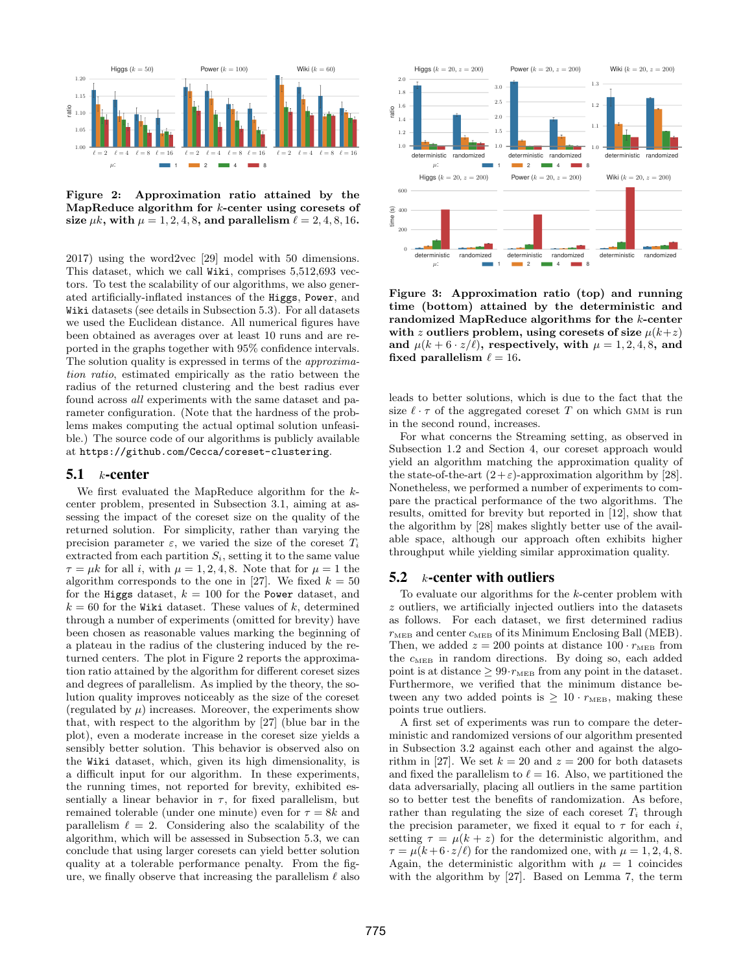

<span id="page-9-2"></span>Figure 2: Approximation ratio attained by the MapReduce algorithm for  $k$ -center using coresets of size  $\mu k$ , with  $\mu = 1, 2, 4, 8$ , and parallelism  $\ell = 2, 4, 8, 16$ .

2017) using the word2vec [\[29\]](#page-12-31) model with 50 dimensions. This dataset, which we call Wiki, comprises 5,512,693 vectors. To test the scalability of our algorithms, we also generated artificially-inflated instances of the Higgs, Power, and Wiki datasets (see details in Subsection [5.3\)](#page-10-0). For all datasets we used the Euclidean distance. All numerical figures have been obtained as averages over at least 10 runs and are reported in the graphs together with 95% confidence intervals. The solution quality is expressed in terms of the approximation ratio, estimated empirically as the ratio between the radius of the returned clustering and the best radius ever found across all experiments with the same dataset and parameter configuration. (Note that the hardness of the problems makes computing the actual optimal solution unfeasible.) The source code of our algorithms is publicly available at <https://github.com/Cecca/coreset-clustering>.

### <span id="page-9-0"></span> $5.1$  k-center

We first evaluated the MapReduce algorithm for the kcenter problem, presented in Subsection [3.1,](#page-3-1) aiming at assessing the impact of the coreset size on the quality of the returned solution. For simplicity, rather than varying the precision parameter  $\varepsilon$ , we varied the size of the coreset  $T_i$ extracted from each partition  $S_i$ , setting it to the same value  $\tau = \mu k$  for all i, with  $\mu = 1, 2, 4, 8$ . Note that for  $\mu = 1$  the algorithm corresponds to the one in [\[27\]](#page-12-12). We fixed  $k = 50$ for the Higgs dataset,  $k = 100$  for the Power dataset, and  $k = 60$  for the Wiki dataset. These values of k, determined through a number of experiments (omitted for brevity) have been chosen as reasonable values marking the beginning of a plateau in the radius of the clustering induced by the returned centers. The plot in Figure [2](#page-9-2) reports the approximation ratio attained by the algorithm for different coreset sizes and degrees of parallelism. As implied by the theory, the solution quality improves noticeably as the size of the coreset (regulated by  $\mu$ ) increases. Moreover, the experiments show that, with respect to the algorithm by [\[27\]](#page-12-12) (blue bar in the plot), even a moderate increase in the coreset size yields a sensibly better solution. This behavior is observed also on the Wiki dataset, which, given its high dimensionality, is a difficult input for our algorithm. In these experiments, the running times, not reported for brevity, exhibited essentially a linear behavior in  $\tau$ , for fixed parallelism, but remained tolerable (under one minute) even for  $\tau = 8k$  and parallelism  $\ell = 2$ . Considering also the scalability of the algorithm, which will be assessed in Subsection [5.3,](#page-10-0) we can conclude that using larger coresets can yield better solution quality at a tolerable performance penalty. From the figure, we finally observe that increasing the parallelism  $\ell$  also



<span id="page-9-3"></span>Figure 3: Approximation ratio (top) and running time (bottom) attained by the deterministic and randomized MapReduce algorithms for the k-center with z outliers problem, using coresets of size  $\mu(k+z)$ and  $\mu(k + 6 \cdot z/\ell)$ , respectively, with  $\mu = 1, 2, 4, 8$ , and fixed parallelism  $\ell = 16$ .

leads to better solutions, which is due to the fact that the size  $\ell \cdot \tau$  of the aggregated coreset T on which GMM is run in the second round, increases.

For what concerns the Streaming setting, as observed in Subsection [1.2](#page-1-1) and Section [4,](#page-7-0) our coreset approach would yield an algorithm matching the approximation quality of the state-of-the-art  $(2+\varepsilon)$ -approximation algorithm by [\[28\]](#page-12-10). Nonetheless, we performed a number of experiments to compare the practical performance of the two algorithms. The results, omitted for brevity but reported in [\[12\]](#page-12-27), show that the algorithm by [\[28\]](#page-12-10) makes slightly better use of the available space, although our approach often exhibits higher throughput while yielding similar approximation quality.

## <span id="page-9-1"></span>5.2  $k$ -center with outliers

To evaluate our algorithms for the k-center problem with z outliers, we artificially injected outliers into the datasets as follows. For each dataset, we first determined radius  $r_{\text{MED}}$  and center  $c_{\text{MED}}$  of its Minimum Enclosing Ball (MEB). Then, we added  $z = 200$  points at distance  $100 \cdot r_{\text{MED}}$  from the  $c_{\text{MED}}$  in random directions. By doing so, each added point is at distance  $\geq 99 \cdot r_{\text{MED}}$  from any point in the dataset. Furthermore, we verified that the minimum distance between any two added points is  $\geq 10 \cdot r_{\text{MED}}$ , making these points true outliers.

A first set of experiments was run to compare the deterministic and randomized versions of our algorithm presented in Subsection [3.2](#page-4-0) against each other and against the algo-rithm in [\[27\]](#page-12-12). We set  $k = 20$  and  $z = 200$  for both datasets and fixed the parallelism to  $\ell = 16$ . Also, we partitioned the data adversarially, placing all outliers in the same partition so to better test the benefits of randomization. As before, rather than regulating the size of each coreset  $T_i$  through the precision parameter, we fixed it equal to  $\tau$  for each i, setting  $\tau = \mu(k + z)$  for the deterministic algorithm, and  $\tau = \mu(k + 6 \cdot z/\ell)$  for the randomized one, with  $\mu = 1, 2, 4, 8$ . Again, the deterministic algorithm with  $\mu = 1$  coincides with the algorithm by [\[27\]](#page-12-12). Based on Lemma [7,](#page-6-1) the term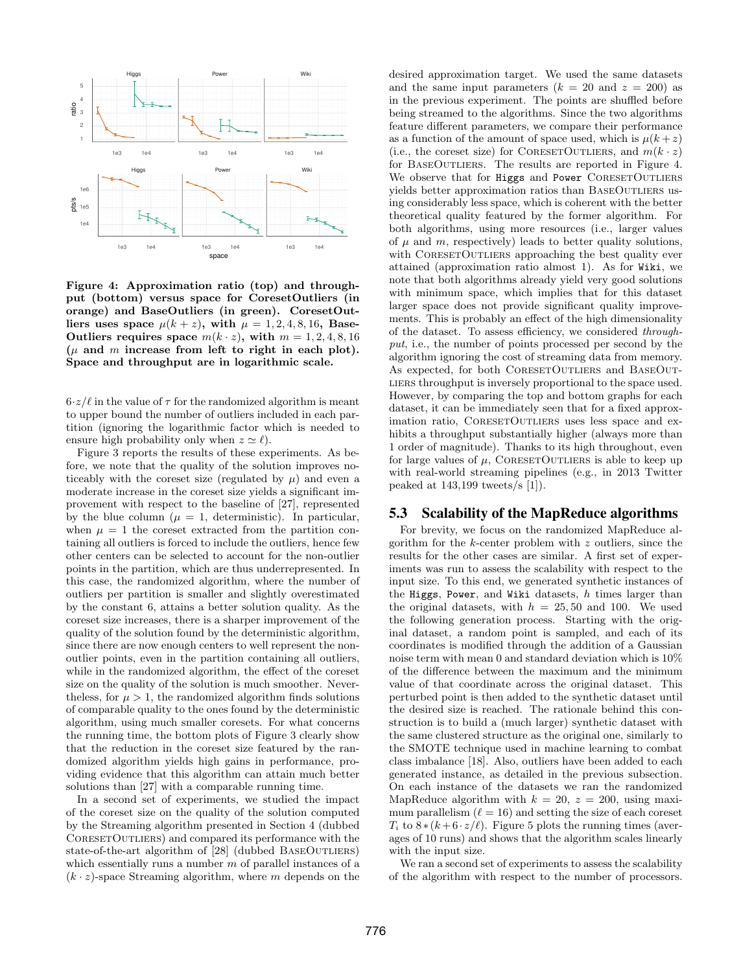

<span id="page-10-1"></span>Figure 4: Approximation ratio (top) and throughput (bottom) versus space for CoresetOutliers (in orange) and BaseOutliers (in green). CoresetOutliers uses space  $\mu(k+z)$ , with  $\mu = 1, 2, 4, 8, 16$ , Base-Outliers requires space  $m(k \cdot z)$ , with  $m = 1, 2, 4, 8, 16$  $(\mu$  and m increase from left to right in each plot). Space and throughput are in logarithmic scale.

 $6·z/\ell$  in the value of  $\tau$  for the randomized algorithm is meant to upper bound the number of outliers included in each partition (ignoring the logarithmic factor which is needed to ensure high probability only when  $z \simeq \ell$ .

Figure [3](#page-9-3) reports the results of these experiments. As before, we note that the quality of the solution improves noticeably with the coreset size (regulated by  $\mu$ ) and even a moderate increase in the coreset size yields a significant improvement with respect to the baseline of [\[27\]](#page-12-12), represented by the blue column ( $\mu = 1$ , deterministic). In particular, when  $\mu = 1$  the coreset extracted from the partition containing all outliers is forced to include the outliers, hence few other centers can be selected to account for the non-outlier points in the partition, which are thus underrepresented. In this case, the randomized algorithm, where the number of outliers per partition is smaller and slightly overestimated by the constant 6, attains a better solution quality. As the coreset size increases, there is a sharper improvement of the quality of the solution found by the deterministic algorithm, since there are now enough centers to well represent the nonoutlier points, even in the partition containing all outliers, while in the randomized algorithm, the effect of the coreset size on the quality of the solution is much smoother. Neverthe less, for  $\mu > 1$ , the randomized algorithm finds solutions of comparable quality to the ones found by the deterministic algorithm, using much smaller coresets. For what concerns the running time, the bottom plots of Figure [3](#page-9-3) clearly show that the reduction in the coreset size featured by the randomized algorithm yields high gains in performance, providing evidence that this algorithm can attain much better solutions than [\[27\]](#page-12-12) with a comparable running time.

In a second set of experiments, we studied the impact of the coreset size on the quality of the solution computed by the Streaming algorithm presented in Section [4](#page-7-0) (dubbed CORESETOUTLIERS) and compared its performance with the state-of-the-art algorithm of [\[28\]](#page-12-10) (dubbed BASEOUTLIERS) which essentially runs a number  $m$  of parallel instances of a  $(k \cdot z)$ -space Streaming algorithm, where m depends on the desired approximation target. We used the same datasets and the same input parameters  $(k = 20$  and  $z = 200)$  as in the previous experiment. The points are shuffled before being streamed to the algorithms. Since the two algorithms feature different parameters, we compare their performance as a function of the amount of space used, which is  $\mu(k+z)$ (i.e., the coreset size) for CORESETOUTLIERS, and  $m(k \cdot z)$ for BASEOUTLIERS. The results are reported in Figure [4.](#page-10-1) We observe that for Higgs and Power CORESETOUTLIERS yields better approximation ratios than BaseOutliers using considerably less space, which is coherent with the better theoretical quality featured by the former algorithm. For both algorithms, using more resources (i.e., larger values of  $\mu$  and  $m$ , respectively) leads to better quality solutions, with CORESETOUTLIERS approaching the best quality ever attained (approximation ratio almost 1). As for Wiki, we note that both algorithms already yield very good solutions with minimum space, which implies that for this dataset larger space does not provide significant quality improvements. This is probably an effect of the high dimensionality of the dataset. To assess efficiency, we considered throughput, i.e., the number of points processed per second by the algorithm ignoring the cost of streaming data from memory. As expected, for both CORESETOUTLIERS and BASEOUTliers throughput is inversely proportional to the space used. However, by comparing the top and bottom graphs for each dataset, it can be immediately seen that for a fixed approximation ratio, CORESETOUTLIERS uses less space and exhibits a throughput substantially higher (always more than 1 order of magnitude). Thanks to its high throughout, even for large values of  $\mu$ , CORESETOUTLIERS is able to keep up with real-world streaming pipelines (e.g., in 2013 Twitter peaked at 143,199 tweets/s [\[1\]](#page-12-32)).

# <span id="page-10-0"></span>5.3 Scalability of the MapReduce algorithms

For brevity, we focus on the randomized MapReduce algorithm for the k-center problem with z outliers, since the results for the other cases are similar. A first set of experiments was run to assess the scalability with respect to the input size. To this end, we generated synthetic instances of the Higgs, Power, and Wiki datasets,  $h$  times larger than the original datasets, with  $h = 25, 50$  and 100. We used the following generation process. Starting with the original dataset, a random point is sampled, and each of its coordinates is modified through the addition of a Gaussian noise term with mean 0 and standard deviation which is 10% of the difference between the maximum and the minimum value of that coordinate across the original dataset. This perturbed point is then added to the synthetic dataset until the desired size is reached. The rationale behind this construction is to build a (much larger) synthetic dataset with the same clustered structure as the original one, similarly to the SMOTE technique used in machine learning to combat class imbalance [\[18\]](#page-12-33). Also, outliers have been added to each generated instance, as detailed in the previous subsection. On each instance of the datasets we ran the randomized MapReduce algorithm with  $k = 20$ ,  $z = 200$ , using maximum parallelism  $(\ell = 16)$  and setting the size of each coreset  $T_i$  to  $8*(k+6\cdot z/\ell)$ . Figure [5](#page-11-2) plots the running times (averages of 10 runs) and shows that the algorithm scales linearly with the input size.

We ran a second set of experiments to assess the scalability of the algorithm with respect to the number of processors.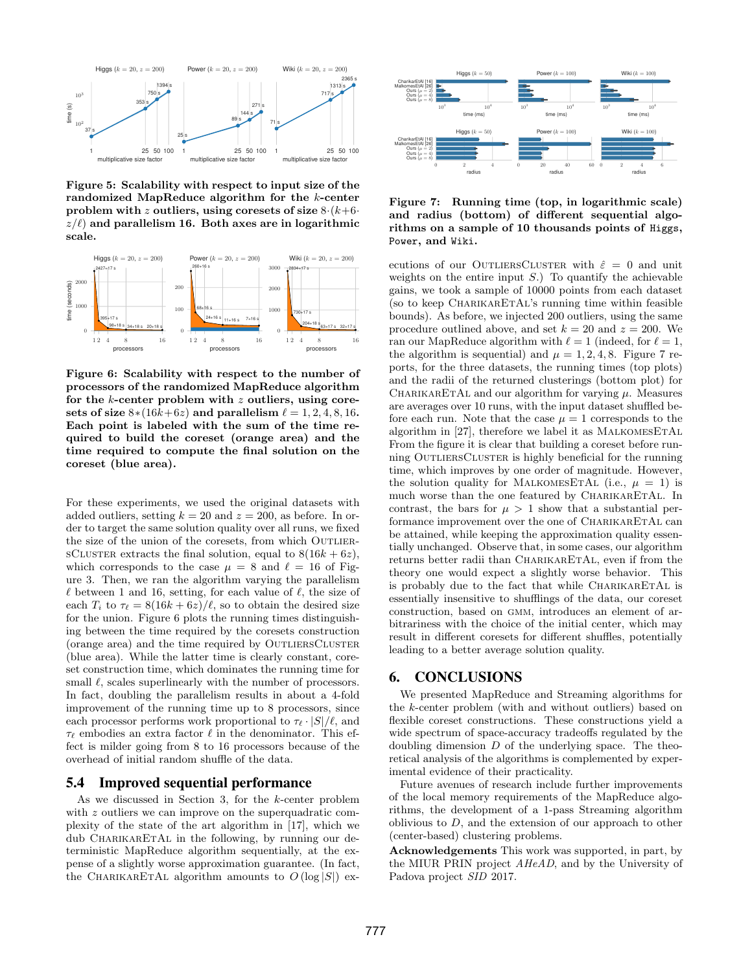

<span id="page-11-2"></span>Figure 5: Scalability with respect to input size of the randomized MapReduce algorithm for the k-center problem with z outliers, using coresets of size  $8 \cdot (k+6 \cdot )$  $z/\ell$ ) and parallelism 16. Both axes are in logarithmic scale.



<span id="page-11-3"></span>Figure 6: Scalability with respect to the number of processors of the randomized MapReduce algorithm for the  $k$ -center problem with  $z$  outliers, using coresets of size  $8*(16k+6z)$  and parallelism  $\ell = 1, 2, 4, 8, 16$ . Each point is labeled with the sum of the time required to build the coreset (orange area) and the time required to compute the final solution on the coreset (blue area).

For these experiments, we used the original datasets with added outliers, setting  $k = 20$  and  $z = 200$ , as before. In order to target the same solution quality over all runs, we fixed the size of the union of the coresets, from which OUTLIER-SCLUSTER extracts the final solution, equal to  $8(16k + 6z)$ , which corresponds to the case  $\mu = 8$  and  $\ell = 16$  of Figure [3.](#page-9-3) Then, we ran the algorithm varying the parallelism  $\ell$  between 1 and 16, setting, for each value of  $\ell$ , the size of each  $T_i$  to  $\tau_\ell = 8(16k + 6z)/\ell$ , so to obtain the desired size for the union. Figure [6](#page-11-3) plots the running times distinguishing between the time required by the coresets construction (orange area) and the time required by OUTLIERSCLUSTER (blue area). While the latter time is clearly constant, coreset construction time, which dominates the running time for small  $\ell$ , scales superlinearly with the number of processors. In fact, doubling the parallelism results in about a 4-fold improvement of the running time up to 8 processors, since each processor performs work proportional to  $\tau_\ell \cdot |S|/\ell$ , and  $\tau_{\ell}$  embodies an extra factor  $\ell$  in the denominator. This effect is milder going from 8 to 16 processors because of the overhead of initial random shuffle of the data.

### <span id="page-11-1"></span>5.4 Improved sequential performance

As we discussed in Section [3,](#page-3-0) for the k-center problem with z outliers we can improve on the superquadratic complexity of the state of the art algorithm in [\[17\]](#page-12-9), which we dub CHARIKARETAL in the following, by running our deterministic MapReduce algorithm sequentially, at the expense of a slightly worse approximation guarantee. (In fact, the CHARIKARETAL algorithm amounts to  $O(\log |S|)$  ex-



### <span id="page-11-4"></span>Figure 7: Running time (top, in logarithmic scale) and radius (bottom) of different sequential algorithms on a sample of 10 thousands points of Higgs, Power, and Wiki.

ecutions of our OUTLIERSCLUSTER with  $\hat{\varepsilon} = 0$  and unit weights on the entire input  $S$ .) To quantify the achievable gains, we took a sample of 10000 points from each dataset (so to keep CHARIKARETAL's running time within feasible bounds). As before, we injected 200 outliers, using the same procedure outlined above, and set  $k = 20$  and  $z = 200$ . We ran our MapReduce algorithm with  $\ell = 1$  (indeed, for  $\ell = 1$ , the algorithm is sequential) and  $\mu = 1, 2, 4, 8$ . Figure [7](#page-11-4) reports, for the three datasets, the running times (top plots) and the radii of the returned clusterings (bottom plot) for CHARIKARETAL and our algorithm for varying  $\mu$ . Measures are averages over 10 runs, with the input dataset shuffled before each run. Note that the case  $\mu = 1$  corresponds to the algorithm in  $[27]$ , therefore we label it as MALKOMESETAL From the figure it is clear that building a coreset before running OUTLIERSCLUSTER is highly beneficial for the running time, which improves by one order of magnitude. However, the solution quality for MALKOMESETAL (i.e.,  $\mu = 1$ ) is much worse than the one featured by CHARIKARETAL. In contrast, the bars for  $\mu > 1$  show that a substantial performance improvement over the one of CHARIKARETAL can be attained, while keeping the approximation quality essentially unchanged. Observe that, in some cases, our algorithm returns better radii than CHARIKARETAL, even if from the theory one would expect a slightly worse behavior. This is probably due to the fact that while CHARIKARETAL is essentially insensitive to shufflings of the data, our coreset construction, based on GMM, introduces an element of arbitrariness with the choice of the initial center, which may result in different coresets for different shuffles, potentially leading to a better average solution quality.

# <span id="page-11-0"></span>6. CONCLUSIONS

We presented MapReduce and Streaming algorithms for the k-center problem (with and without outliers) based on flexible coreset constructions. These constructions yield a wide spectrum of space-accuracy tradeoffs regulated by the doubling dimension  $D$  of the underlying space. The theoretical analysis of the algorithms is complemented by experimental evidence of their practicality.

Future avenues of research include further improvements of the local memory requirements of the MapReduce algorithms, the development of a 1-pass Streaming algorithm oblivious to  $D$ , and the extension of our approach to other (center-based) clustering problems.

Acknowledgements This work was supported, in part, by the MIUR PRIN project AHeAD, and by the University of Padova project SID 2017.